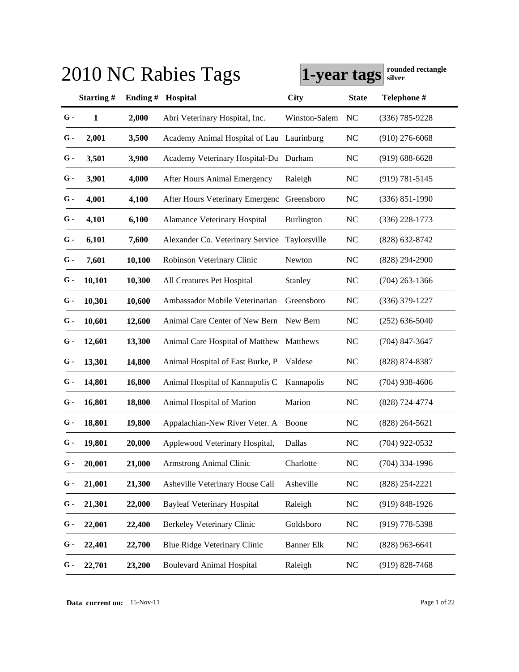|               |           |         | 2010 NC Rabies Tags                       | 1-year tags       |              | rounded rectangle<br>silver |
|---------------|-----------|---------|-------------------------------------------|-------------------|--------------|-----------------------------|
|               | Starting# | Ending# | Hospital                                  | <b>City</b>       | <b>State</b> | Telephone #                 |
| $G -$         | 1         | 2,000   | Abri Veterinary Hospital, Inc.            | Winston-Salem     | NC           | $(336) 785 - 9228$          |
| G -           | 2,001     | 3,500   | Academy Animal Hospital of Lau Laurinburg |                   | <b>NC</b>    | $(910)$ 276-6068            |
| $G$ -         | 3,501     | 3,900   | Academy Veterinary Hospital-Du Durham     |                   | <b>NC</b>    | $(919) 688 - 6628$          |
| $G$ -         | 3,901     | 4,000   | <b>After Hours Animal Emergency</b>       | Raleigh           | <b>NC</b>    | $(919) 781 - 5145$          |
| $G$ -         | 4,001     | 4,100   | After Hours Veterinary Emergenc           | Greensboro        | <b>NC</b>    | $(336) 851 - 1990$          |
| $G$ -         | 4,101     | 6,100   | <b>Alamance Veterinary Hospital</b>       | Burlington        | <b>NC</b>    | $(336)$ 228-1773            |
| $G$ -         | 6,101     | 7,600   | Alexander Co. Veterinary Service          | Taylorsville      | <b>NC</b>    | $(828)$ 632-8742            |
| $G$ -         | 7,601     | 10,100  | Robinson Veterinary Clinic                | Newton            | <b>NC</b>    | $(828)$ 294-2900            |
| $G$ -         | 10,101    | 10,300  | All Creatures Pet Hospital                | Stanley           | <b>NC</b>    | $(704)$ 263-1366            |
| $G$ -         | 10,301    | 10,600  | Ambassador Mobile Veterinarian            | Greensboro        | <b>NC</b>    | $(336)$ 379-1227            |
| G -           | 10,601    | 12,600  | Animal Care Center of New Bern            | New Bern          | <b>NC</b>    | $(252)$ 636-5040            |
| G -           | 12,601    | 13,300  | Animal Care Hospital of Matthew Matthews  |                   | <b>NC</b>    | $(704)$ 847-3647            |
| G -           | 13,301    | 14,800  | Animal Hospital of East Burke, P          | Valdese           | <b>NC</b>    | $(828)$ 874-8387            |
| G -           | 14,801    | 16,800  | Animal Hospital of Kannapolis C           | Kannapolis        | <b>NC</b>    | $(704)$ 938-4606            |
| $G$ -         | 16,801    | 18,800  | Animal Hospital of Marion                 | Marion            | <b>NC</b>    | $(828)$ 724-4774            |
| $G$ -         | 18,801    | 19,800  | Appalachian-New River Veter. A Boone      |                   | <b>NC</b>    | $(828)$ 264-5621            |
| $\mathbf G$ - | 19,801    | 20,000  | Applewood Veterinary Hospital,            | Dallas            | NC           | $(704)$ 922-0532            |
| $G$ -         | 20,001    | 21,000  | <b>Armstrong Animal Clinic</b>            | Charlotte         | <b>NC</b>    | $(704)$ 334-1996            |
| G -           | 21,001    | 21,300  | Asheville Veterinary House Call           | Asheville         | <b>NC</b>    | $(828)$ 254-2221            |
| G -           | 21,301    | 22,000  | <b>Bayleaf Veterinary Hospital</b>        | Raleigh           | <b>NC</b>    | $(919) 848 - 1926$          |
| G -           | 22,001    | 22,400  | Berkeley Veterinary Clinic                | Goldsboro         | <b>NC</b>    | $(919)$ 778-5398            |
| G -           | 22,401    | 22,700  | Blue Ridge Veterinary Clinic              | <b>Banner Elk</b> | <b>NC</b>    | $(828)$ 963-6641            |
| G -           | 22,701    | 23,200  | <b>Boulevard Animal Hospital</b>          | Raleigh           | <b>NC</b>    | $(919) 828 - 7468$          |

**Data current on:** 15-Nov-11 Page 1 of 22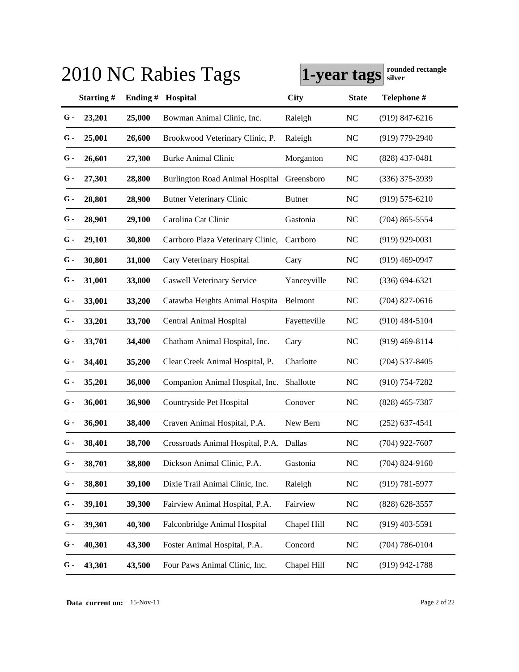|       |           |         | 2010 NC Rabies Tags                     | 1-year tags   |              | rounded rectangle<br>silver |
|-------|-----------|---------|-----------------------------------------|---------------|--------------|-----------------------------|
|       | Starting# | Ending# | Hospital                                | <b>City</b>   | <b>State</b> | Telephone #                 |
| $G -$ | 23,201    | 25,000  | Bowman Animal Clinic, Inc.              | Raleigh       | <b>NC</b>    | $(919)$ 847-6216            |
| G -   | 25,001    | 26,600  | Brookwood Veterinary Clinic, P.         | Raleigh       | <b>NC</b>    | $(919)$ 779-2940            |
| G -   | 26,601    | 27,300  | <b>Burke Animal Clinic</b>              | Morganton     | <b>NC</b>    | $(828)$ 437-0481            |
| G -   | 27,301    | 28,800  | <b>Burlington Road Animal Hospital</b>  | Greensboro    | <b>NC</b>    | $(336)$ 375-3939            |
| G -   | 28,801    | 28,900  | <b>Butner Veterinary Clinic</b>         | <b>Butner</b> | <b>NC</b>    | $(919) 575 - 6210$          |
| G -   | 28,901    | 29,100  | Carolina Cat Clinic                     | Gastonia      | <b>NC</b>    | $(704)$ 865-5554            |
| G -   | 29,101    | 30,800  | Carrboro Plaza Veterinary Clinic,       | Carrboro      | <b>NC</b>    | $(919)$ 929-0031            |
| $G$ - | 30,801    | 31,000  | Cary Veterinary Hospital                | Cary          | <b>NC</b>    | $(919)$ 469-0947            |
| $G$ - | 31,001    | 33,000  | <b>Caswell Veterinary Service</b>       | Yanceyville   | <b>NC</b>    | $(336) 694 - 6321$          |
| $G$ - | 33,001    | 33,200  | Catawba Heights Animal Hospita          | Belmont       | <b>NC</b>    | $(704)$ 827-0616            |
| G -   | 33,201    | 33,700  | Central Animal Hospital                 | Fayetteville  | <b>NC</b>    | $(910)$ 484-5104            |
| G -   | 33,701    | 34,400  | Chatham Animal Hospital, Inc.           | Cary          | <b>NC</b>    | $(919)$ 469-8114            |
| G -   | 34,401    | 35,200  | Clear Creek Animal Hospital, P.         | Charlotte     | <b>NC</b>    | $(704)$ 537-8405            |
| G -   | 35,201    | 36,000  | Companion Animal Hospital, Inc.         | Shallotte     | <b>NC</b>    | $(910)$ 754-7282            |
| G -   | 36,001    | 36,900  | Countryside Pet Hospital                | Conover       | <b>NC</b>    | $(828)$ 465-7387            |
| $G$ - | 36,901    | 38,400  | Craven Animal Hospital, P.A.            | New Bern      | <b>NC</b>    | $(252)$ 637-4541            |
| $G -$ | 38,401    | 38,700  | Crossroads Animal Hospital, P.A. Dallas |               | NC           | $(704)$ 922-7607            |
| $G$ - | 38,701    | 38,800  | Dickson Animal Clinic, P.A.             | Gastonia      | <b>NC</b>    | $(704)$ 824-9160            |
| G -   | 38,801    | 39,100  | Dixie Trail Animal Clinic, Inc.         | Raleigh       | <b>NC</b>    | $(919) 781 - 5977$          |
| G -   | 39,101    | 39,300  | Fairview Animal Hospital, P.A.          | Fairview      | <b>NC</b>    | $(828) 628 - 3557$          |
| G -   | 39,301    | 40,300  | Falconbridge Animal Hospital            | Chapel Hill   | <b>NC</b>    | $(919)$ 403-5591            |
| G -   | 40,301    | 43,300  | Foster Animal Hospital, P.A.            | Concord       | <b>NC</b>    | $(704) 786 - 0104$          |
| G -   | 43,301    | 43,500  | Four Paws Animal Clinic, Inc.           | Chapel Hill   | <b>NC</b>    | $(919)$ 942-1788            |

**Data current on:** 15-Nov-11 Page 2 of 22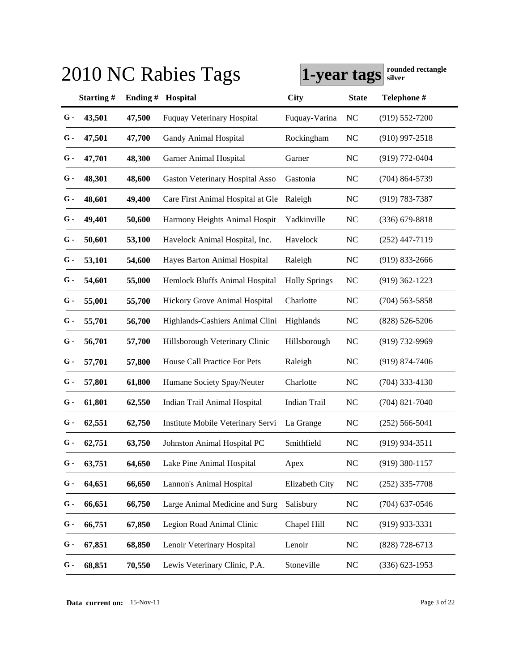|       |           |            | 2010 NC Rabies Tags               | 1-year tags          |              | rounded rectangle<br>silver |
|-------|-----------|------------|-----------------------------------|----------------------|--------------|-----------------------------|
|       | Starting# | Ending $#$ | Hospital                          | City                 | <b>State</b> | Telephone #                 |
| G -   | 43,501    | 47,500     | <b>Fuquay Veterinary Hospital</b> | Fuquay-Varina        | <b>NC</b>    | $(919) 552 - 7200$          |
| G -   | 47,501    | 47,700     | Gandy Animal Hospital             | Rockingham           | <b>NC</b>    | $(910)$ 997-2518            |
| G -   | 47,701    | 48,300     | Garner Animal Hospital            | Garner               | <b>NC</b>    | (919) 772-0404              |
| G -   | 48,301    | 48,600     | Gaston Veterinary Hospital Asso   | Gastonia             | <b>NC</b>    | $(704)$ 864-5739            |
| G -   | 48,601    | 49,400     | Care First Animal Hospital at Gle | Raleigh              | <b>NC</b>    | $(919) 783 - 7387$          |
| G -   | 49,401    | 50,600     | Harmony Heights Animal Hospit     | Yadkinville          | <b>NC</b>    | $(336)$ 679-8818            |
| G -   | 50,601    | 53,100     | Havelock Animal Hospital, Inc.    | Havelock             | <b>NC</b>    | $(252)$ 447-7119            |
| G -   | 53,101    | 54,600     | Hayes Barton Animal Hospital      | Raleigh              | <b>NC</b>    | (919) 833-2666              |
| G -   | 54,601    | 55,000     | Hemlock Bluffs Animal Hospital    | <b>Holly Springs</b> | NC           | $(919)$ 362-1223            |
| G -   | 55,001    | 55,700     | Hickory Grove Animal Hospital     | Charlotte            | <b>NC</b>    | $(704)$ 563-5858            |
| G -   | 55,701    | 56,700     | Highlands-Cashiers Animal Clini   | Highlands            | <b>NC</b>    | $(828) 526 - 5206$          |
| G -   | 56,701    | 57,700     | Hillsborough Veterinary Clinic    | Hillsborough         | <b>NC</b>    | $(919)$ 732-9969            |
| G -   | 57,701    | 57,800     | House Call Practice For Pets      | Raleigh              | <b>NC</b>    | (919) 874-7406              |
| G -   | 57,801    | 61,800     | Humane Society Spay/Neuter        | Charlotte            | NC           | $(704)$ 333-4130            |
| G -   | 61,801    | 62,550     | Indian Trail Animal Hospital      | <b>Indian Trail</b>  | <b>NC</b>    | $(704)$ 821-7040            |
| G -   | 62,551    | 62,750     | Institute Mobile Veterinary Servi | La Grange            | <b>NC</b>    | $(252) 566 - 5041$          |
| $G -$ | 62,751    | 63,750     | Johnston Animal Hospital PC       | Smithfield           | NC           | $(919)$ 934-3511            |
| $G$ - | 63,751    | 64,650     | Lake Pine Animal Hospital         | Apex                 | <b>NC</b>    | $(919)$ 380-1157            |
| G -   | 64,651    | 66,650     | Lannon's Animal Hospital          | Elizabeth City       | <b>NC</b>    | $(252)$ 335-7708            |
| G -   | 66,651    | 66,750     | Large Animal Medicine and Surg    | Salisbury            | <b>NC</b>    | $(704)$ 637-0546            |
| G -   | 66,751    | 67,850     | Legion Road Animal Clinic         | Chapel Hill          | <b>NC</b>    | $(919)$ 933-3331            |
| G -   | 67,851    | 68,850     | Lenoir Veterinary Hospital        | Lenoir               | <b>NC</b>    | $(828) 728 - 6713$          |
| G -   | 68,851    | 70,550     | Lewis Veterinary Clinic, P.A.     | Stoneville           | <b>NC</b>    | $(336) 623 - 1953$          |

**Data current on:** 15-Nov-11 Page 3 of 22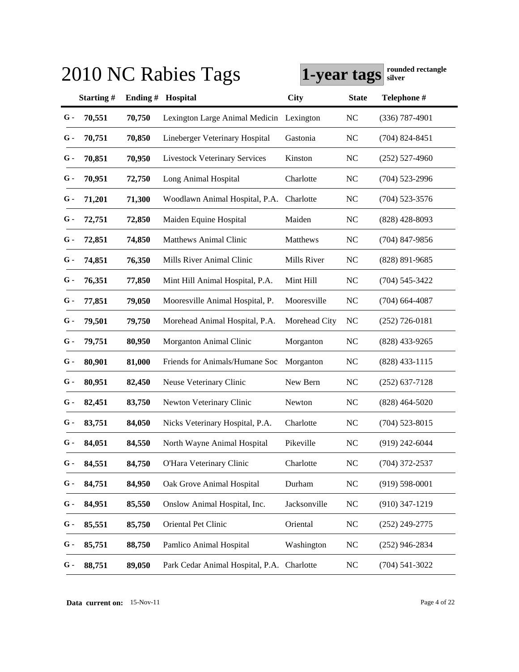|       |              |         | 2010 NC Rabies Tags                        | 1-year tags   |              | rounded rectangle<br>silver |
|-------|--------------|---------|--------------------------------------------|---------------|--------------|-----------------------------|
|       | Starting#    | Ending# | Hospital                                   | <b>City</b>   | <b>State</b> | Telephone #                 |
| G -   | 70,551       | 70,750  | Lexington Large Animal Medicin Lexington   |               | <b>NC</b>    | $(336)$ 787-4901            |
| G -   | 70,751       | 70,850  | Lineberger Veterinary Hospital             | Gastonia      | <b>NC</b>    | $(704)$ 824-8451            |
| G -   | 70,851       | 70,950  | <b>Livestock Veterinary Services</b>       | Kinston       | <b>NC</b>    | $(252)$ 527-4960            |
| G -   | 70,951       | 72,750  | Long Animal Hospital                       | Charlotte     | <b>NC</b>    | $(704)$ 523-2996            |
| G -   | 71,201       | 71,300  | Woodlawn Animal Hospital, P.A.             | Charlotte     | <b>NC</b>    | $(704)$ 523-3576            |
| G -   | 72,751       | 72,850  | Maiden Equine Hospital                     | Maiden        | <b>NC</b>    | $(828)$ 428-8093            |
| G -   | 72,851       | 74,850  | <b>Matthews Animal Clinic</b>              | Matthews      | <b>NC</b>    | $(704)$ 847-9856            |
| $G$ - | 74,851       | 76,350  | Mills River Animal Clinic                  | Mills River   | <b>NC</b>    | $(828)$ 891-9685            |
| $G$ - | 76,351       | 77,850  | Mint Hill Animal Hospital, P.A.            | Mint Hill     | <b>NC</b>    | $(704)$ 545-3422            |
| G -   | 77,851       | 79,050  | Mooresville Animal Hospital, P.            | Mooresville   | <b>NC</b>    | $(704)$ 664-4087            |
| G -   | 79,501       | 79,750  | Morehead Animal Hospital, P.A.             | Morehead City | NC           | $(252)$ 726-0181            |
| G -   | 79,751       | 80,950  | Morganton Animal Clinic                    | Morganton     | <b>NC</b>    | $(828)$ 433-9265            |
| G -   | 80,901       | 81,000  | Friends for Animals/Humane Soc             | Morganton     | <b>NC</b>    | $(828)$ 433-1115            |
| G -   | 80,951       | 82,450  | Neuse Veterinary Clinic                    | New Bern      | <b>NC</b>    | $(252)$ 637-7128            |
| G -   | 82,451       | 83,750  | Newton Veterinary Clinic                   | Newton        | <b>NC</b>    | $(828)$ 464-5020            |
| $G$ - | 83,751       | 84,050  | Nicks Veterinary Hospital, P.A.            | Charlotte     | <b>NC</b>    | $(704)$ 523-8015            |
|       | $G - 84,051$ | 84,550  | North Wayne Animal Hospital                | Pikeville     | NC           | $(919)$ 242-6044            |
| $G$ - | 84,551       | 84,750  | O'Hara Veterinary Clinic                   | Charlotte     | <b>NC</b>    | $(704)$ 372-2537            |
| G -   | 84,751       | 84,950  | Oak Grove Animal Hospital                  | Durham        | <b>NC</b>    | $(919) 598 - 0001$          |
| G -   | 84,951       | 85,550  | Onslow Animal Hospital, Inc.               | Jacksonville  | <b>NC</b>    | $(910)$ 347-1219            |
| G -   | 85,551       | 85,750  | Oriental Pet Clinic                        | Oriental      | <b>NC</b>    | $(252)$ 249-2775            |
| G -   | 85,751       | 88,750  | Pamlico Animal Hospital                    | Washington    | <b>NC</b>    | $(252)$ 946-2834            |
| G -   | 88,751       | 89,050  | Park Cedar Animal Hospital, P.A. Charlotte |               | <b>NC</b>    | $(704)$ 541-3022            |

**Data current on:** 15-Nov-11 Page 4 of 22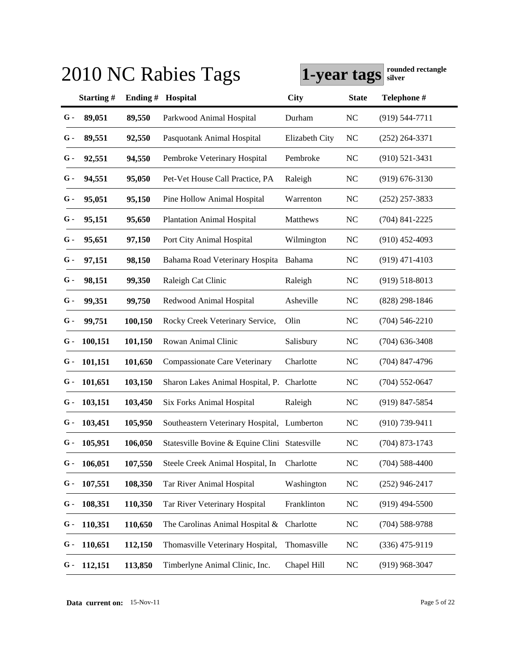|       |               |            | 2010 NC Rabies Tags                           | 1-year tags    |                | rounded rectangle<br>silver |
|-------|---------------|------------|-----------------------------------------------|----------------|----------------|-----------------------------|
|       | Starting#     | Ending $#$ | Hospital                                      | City           | <b>State</b>   | Telephone #                 |
| $G -$ | 89,051        | 89,550     | Parkwood Animal Hospital                      | Durham         | <b>NC</b>      | $(919) 544 - 7711$          |
| G -   | 89,551        | 92,550     | Pasquotank Animal Hospital                    | Elizabeth City | N <sub>C</sub> | $(252)$ 264-3371            |
| $G$ - | 92,551        | 94,550     | Pembroke Veterinary Hospital                  | Pembroke       | <b>NC</b>      | $(910)$ 521-3431            |
| $G$ - | 94,551        | 95,050     | Pet-Vet House Call Practice, PA               | Raleigh        | <b>NC</b>      | $(919) 676 - 3130$          |
| G -   | 95,051        | 95,150     | Pine Hollow Animal Hospital                   | Warrenton      | <b>NC</b>      | $(252)$ 257-3833            |
| G -   | 95,151        | 95,650     | <b>Plantation Animal Hospital</b>             | Matthews       | <b>NC</b>      | $(704)$ 841-2225            |
| G -   | 95,651        | 97,150     | Port City Animal Hospital                     | Wilmington     | <b>NC</b>      | $(910)$ 452-4093            |
| $G$ - | 97,151        | 98,150     | Bahama Road Veterinary Hospita Bahama         |                | <b>NC</b>      | $(919)$ 471-4103            |
| $G$ - | 98,151        | 99,350     | Raleigh Cat Clinic                            | Raleigh        | NC             | $(919) 518 - 8013$          |
| G -   | 99,351        | 99,750     | Redwood Animal Hospital                       | Asheville      | <b>NC</b>      | $(828)$ 298-1846            |
| G -   | 99,751        | 100,150    | Rocky Creek Veterinary Service,               | Olin           | <b>NC</b>      | $(704)$ 546-2210            |
| G -   | 100,151       | 101,150    | Rowan Animal Clinic                           | Salisbury      | <b>NC</b>      | $(704)$ 636-3408            |
| $G-$  | 101,151       | 101,650    | <b>Compassionate Care Veterinary</b>          | Charlotte      | <b>NC</b>      | $(704)$ 847-4796            |
| G -   | 101,651       | 103,150    | Sharon Lakes Animal Hospital, P.              | Charlotte      | <b>NC</b>      | $(704)$ 552-0647            |
| G -   | 103,151       | 103,450    | Six Forks Animal Hospital                     | Raleigh        | <b>NC</b>      | (919) 847-5854              |
| G -   | 103,451       | 105,950    | Southeastern Veterinary Hospital, Lumberton   |                | <b>NC</b>      | $(910)$ 739-9411            |
|       | $G - 105,951$ | 106,050    | Statesville Bovine & Equine Clini Statesville |                | NC             | $(704)$ 873-1743            |
| G -   | 106,051       | 107,550    | Steele Creek Animal Hospital, In              | Charlotte      | <b>NC</b>      | $(704) 588 - 4400$          |
| G -   | 107,551       | 108,350    | Tar River Animal Hospital                     | Washington     | <b>NC</b>      | $(252)$ 946-2417            |
| G -   | 108,351       | 110,350    | Tar River Veterinary Hospital                 | Franklinton    | <b>NC</b>      | $(919)$ 494-5500            |
| G -   | 110,351       | 110,650    | The Carolinas Animal Hospital &               | Charlotte      | <b>NC</b>      | $(704)$ 588-9788            |
| G -   | 110,651       | 112,150    | Thomasville Veterinary Hospital,              | Thomasville    | NC             | (336) 475-9119              |
| G -   | 112,151       | 113,850    | Timberlyne Animal Clinic, Inc.                | Chapel Hill    | <b>NC</b>      | $(919)$ 968-3047            |

**Data current on:** 15-Nov-11 Page 5 of 22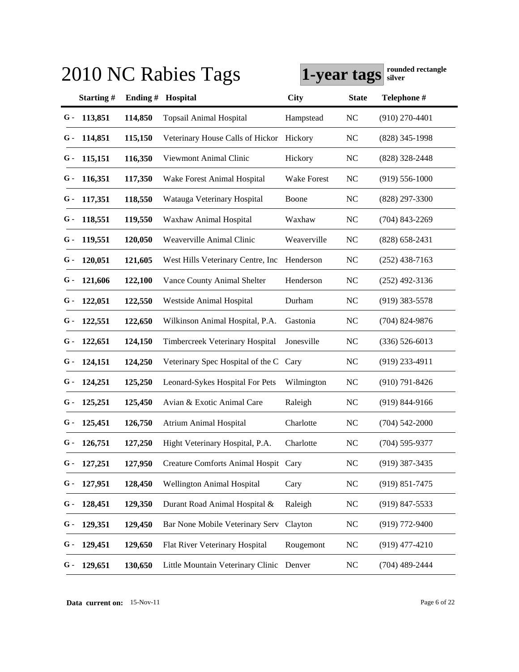| 2010 NC Rabies Tags | rounded rectangle<br>1-year tags<br>silver |         |                                      |             |              |                    |
|---------------------|--------------------------------------------|---------|--------------------------------------|-------------|--------------|--------------------|
|                     | Starting#                                  | Ending# | Hospital                             | City        | <b>State</b> | Telephone #        |
| G -                 | 113,851                                    | 114,850 | <b>Topsail Animal Hospital</b>       | Hampstead   | <b>NC</b>    | $(910)$ 270-4401   |
| G -                 | 114,851                                    | 115,150 | Veterinary House Calls of Hickor     | Hickory     | <b>NC</b>    | (828) 345-1998     |
| G -                 | 115,151                                    | 116,350 | Viewmont Animal Clinic               | Hickory     | <b>NC</b>    | $(828)$ 328-2448   |
| G -                 | 116,351                                    | 117,350 | Wake Forest Animal Hospital          | Wake Forest | <b>NC</b>    | $(919)$ 556-1000   |
| G -                 | 117,351                                    | 118,550 | Watauga Veterinary Hospital          | Boone       | <b>NC</b>    | $(828)$ 297-3300   |
| G -                 | 118,551                                    | 119,550 | Waxhaw Animal Hospital               | Waxhaw      | <b>NC</b>    | $(704)$ 843-2269   |
| G -                 | 119,551                                    | 120,050 | Weaverville Animal Clinic            | Weaverville | <b>NC</b>    | $(828)$ 658-2431   |
| G -                 | 120,051                                    | 121,605 | West Hills Veterinary Centre, Inc.   | Henderson   | <b>NC</b>    | $(252)$ 438-7163   |
| G -                 | 121,606                                    | 122,100 | Vance County Animal Shelter          | Henderson   | <b>NC</b>    | $(252)$ 492-3136   |
| G -                 | 122,051                                    | 122,550 | Westside Animal Hospital             | Durham      | <b>NC</b>    | $(919)$ 383-5578   |
| G -                 | 122,551                                    | 122,650 | Wilkinson Animal Hospital, P.A.      | Gastonia    | <b>NC</b>    | (704) 824-9876     |
| G -                 | 122,651                                    | 124,150 | Timbercreek Veterinary Hospital      | Jonesville  | <b>NC</b>    | $(336)$ 526-6013   |
| $G-$                | 124,151                                    | 124,250 | Veterinary Spec Hospital of the C    | Cary        | NC           | $(919)$ 233-4911   |
| G -                 | 124,251                                    | 125,250 | Leonard-Sykes Hospital For Pets      | Wilmington  | NC           | $(910)$ 791-8426   |
| G -                 | 125,251                                    | 125,450 | Avian & Exotic Animal Care           | Raleigh     | <b>NC</b>    | $(919) 844 - 9166$ |
| G -                 | 125,451                                    | 126,750 | <b>Atrium Animal Hospital</b>        | Charlotte   | <b>NC</b>    | $(704)$ 542-2000   |
|                     | $G - 126,751$                              | 127,250 | Hight Veterinary Hospital, P.A.      | Charlotte   | NC           | $(704)$ 595-9377   |
| G -                 | 127,251                                    | 127,950 | Creature Comforts Animal Hospit Cary |             | <b>NC</b>    | $(919)$ 387-3435   |
| G -                 | 127,951                                    | 128,450 | Wellington Animal Hospital           | Cary        | <b>NC</b>    | $(919) 851 - 7475$ |
| G -                 | 128,451                                    | 129,350 | Durant Road Animal Hospital &        | Raleigh     | <b>NC</b>    | $(919)$ 847-5533   |
| G -                 | 129,351                                    | 129,450 | Bar None Mobile Veterinary Serv      | Clayton     | <b>NC</b>    | (919) 772-9400     |
| G -                 | 129,451                                    | 129,650 | Flat River Veterinary Hospital       | Rougemont   | <b>NC</b>    | $(919)$ 477-4210   |
| G -                 | 129,651                                    | 130,650 | Little Mountain Veterinary Clinic    | Denver      | <b>NC</b>    | $(704)$ 489-2444   |

**Data current on:** 15-Nov-11 Page 6 of 22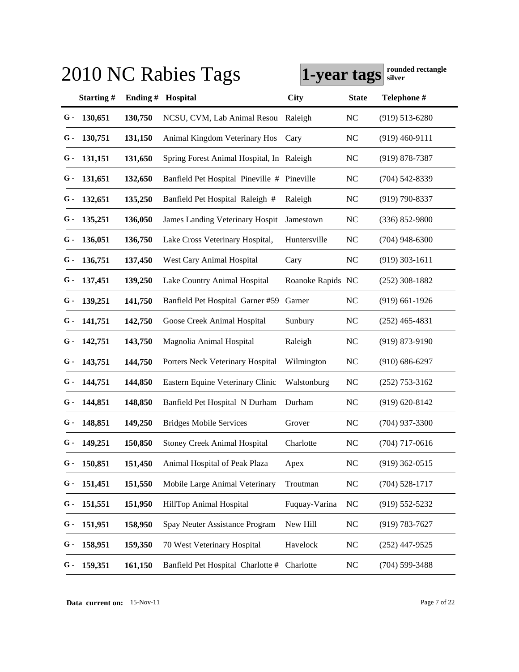|     |               |            | 2010 NC Rabies Tags                         | 1-year tags       |              | rounded rectangle<br>silver |
|-----|---------------|------------|---------------------------------------------|-------------------|--------------|-----------------------------|
|     | Starting#     | Ending $#$ | Hospital                                    | City              | <b>State</b> | Telephone #                 |
| G-  | 130,651       | 130,750    | NCSU, CVM, Lab Animal Resou                 | Raleigh           | <b>NC</b>    | $(919)$ 513-6280            |
| G - | 130,751       | 131,150    | Animal Kingdom Veterinary Hos               | Cary              | <b>NC</b>    | $(919)$ 460-9111            |
| G - | 131,151       | 131,650    | Spring Forest Animal Hospital, In Raleigh   |                   | <b>NC</b>    | (919) 878-7387              |
| G - | 131,651       | 132,650    | Banfield Pet Hospital Pineville # Pineville |                   | <b>NC</b>    | (704) 542-8339              |
| G - | 132,651       | 135,250    | Banfield Pet Hospital Raleigh #             | Raleigh           | <b>NC</b>    | (919) 790-8337              |
| G - | 135,251       | 136,050    | James Landing Veterinary Hospit             | Jamestown         | <b>NC</b>    | $(336) 852 - 9800$          |
| G - | 136,051       | 136,750    | Lake Cross Veterinary Hospital,             | Huntersville      | <b>NC</b>    | $(704)$ 948-6300            |
| G - | 136,751       | 137,450    | West Cary Animal Hospital                   | Cary              | <b>NC</b>    | $(919)$ 303-1611            |
| G - | 137,451       | 139,250    | Lake Country Animal Hospital                | Roanoke Rapids NC |              | $(252)$ 308-1882            |
| G - | 139,251       | 141,750    | Banfield Pet Hospital Garner #59            | Garner            | <b>NC</b>    | $(919)$ 661-1926            |
| G - | 141,751       | 142,750    | Goose Creek Animal Hospital                 | Sunbury           | <b>NC</b>    | $(252)$ 465-4831            |
| G - | 142,751       | 143,750    | Magnolia Animal Hospital                    | Raleigh           | <b>NC</b>    | $(919) 873 - 9190$          |
| G - | 143,751       | 144,750    | Porters Neck Veterinary Hospital            | Wilmington        | NC           | $(910) 686 - 6297$          |
| G - | 144,751       | 144,850    | Eastern Equine Veterinary Clinic            | Walstonburg       | NC           | $(252)$ 753-3162            |
| G - | 144,851       | 148,850    | Banfield Pet Hospital N Durham              | Durham            | <b>NC</b>    | $(919) 620 - 8142$          |
| G - | 148,851       | 149,250    | <b>Bridges Mobile Services</b>              | Grover            | <b>NC</b>    | $(704)$ 937-3300            |
|     | $G - 149,251$ | 150,850    | <b>Stoney Creek Animal Hospital</b>         | Charlotte         | NC           | $(704)$ 717-0616            |
| G - | 150,851       | 151,450    | Animal Hospital of Peak Plaza               | Apex              | <b>NC</b>    | $(919)$ 362-0515            |
| G - | 151,451       | 151,550    | Mobile Large Animal Veterinary              | Troutman          | <b>NC</b>    | $(704)$ 528-1717            |
| G - | 151,551       | 151,950    | HillTop Animal Hospital                     | Fuquay-Varina     | <b>NC</b>    | $(919) 552 - 5232$          |
| G - | 151,951       | 158,950    | Spay Neuter Assistance Program              | New Hill          | NC           | $(919) 783 - 7627$          |
| G - | 158,951       | 159,350    | 70 West Veterinary Hospital                 | Havelock          | <b>NC</b>    | $(252)$ 447-9525            |
| G - | 159,351       | 161,150    | Banfield Pet Hospital Charlotte # Charlotte |                   | <b>NC</b>    | $(704) 599 - 3488$          |

**Data current on:** 15-Nov-11 Page 7 of 22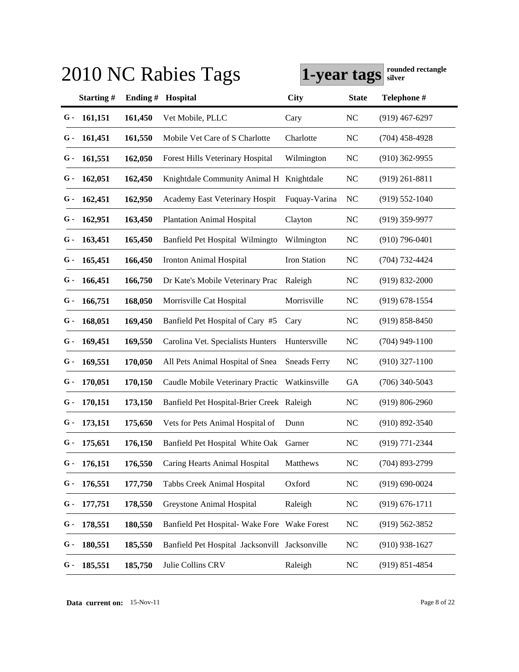|     |               |            | 2010 NC Rabies Tags                            | 1-year tags         |                | rounded rectangle<br>silver |
|-----|---------------|------------|------------------------------------------------|---------------------|----------------|-----------------------------|
|     | Starting#     | Ending $#$ | Hospital                                       | City                | <b>State</b>   | Telephone #                 |
| G-  | 161,151       | 161,450    | Vet Mobile, PLLC                               | Cary                | <b>NC</b>      | $(919)$ 467-6297            |
| G - | 161,451       | 161,550    | Mobile Vet Care of S Charlotte                 | Charlotte           | <b>NC</b>      | $(704)$ 458-4928            |
| G - | 161,551       | 162,050    | Forest Hills Veterinary Hospital               | Wilmington          | <b>NC</b>      | $(910)$ 362-9955            |
| G - | 162,051       | 162,450    | Knightdale Community Animal H Knightdale       |                     | <b>NC</b>      | $(919)$ 261-8811            |
| G - | 162,451       | 162,950    | Academy East Veterinary Hospit                 | Fuquay-Varina       | N <sub>C</sub> | $(919)$ 552-1040            |
| G - | 162,951       | 163,450    | <b>Plantation Animal Hospital</b>              | Clayton             | <b>NC</b>      | $(919)$ 359-9977            |
| G - | 163,451       | 165,450    | Banfield Pet Hospital Wilmingto                | Wilmington          | <b>NC</b>      | $(910)$ 796-0401            |
| G - | 165,451       | 166,450    | Ironton Animal Hospital                        | Iron Station        | <b>NC</b>      | (704) 732-4424              |
| G - | 166,451       | 166,750    | Dr Kate's Mobile Veterinary Prac               | Raleigh             | NC             | $(919) 832 - 2000$          |
| G - | 166,751       | 168,050    | Morrisville Cat Hospital                       | Morrisville         | <b>NC</b>      | $(919) 678 - 1554$          |
| G - | 168,051       | 169,450    | Banfield Pet Hospital of Cary #5               | Cary                | <b>NC</b>      | $(919) 858 - 8450$          |
| G - | 169,451       | 169,550    | Carolina Vet. Specialists Hunters              | Huntersville        | <b>NC</b>      | $(704)$ 949-1100            |
| G - | 169,551       | 170,050    | All Pets Animal Hospital of Snea               | <b>Sneads Ferry</b> | NC             | $(910)$ 327-1100            |
| G - | 170,051       | 170,150    | Caudle Mobile Veterinary Practic               | Watkinsville        | GA             | $(706)$ 340-5043            |
| G - | 170,151       | 173,150    | Banfield Pet Hospital-Brier Creek Raleigh      |                     | <b>NC</b>      | $(919) 806 - 2960$          |
| G - | 173,151       | 175,650    | Vets for Pets Animal Hospital of               | Dunn                | <b>NC</b>      | $(910) 892 - 3540$          |
|     | $G - 175,651$ | 176,150    | Banfield Pet Hospital White Oak Garner         |                     | NC             | (919) 771-2344              |
| G - | 176,151       | 176,550    | Caring Hearts Animal Hospital                  | Matthews            | <b>NC</b>      | $(704)$ 893-2799            |
| G - | 176,551       | 177,750    | Tabbs Creek Animal Hospital                    | Oxford              | <b>NC</b>      | $(919) 690 - 0024$          |
| G - | 177,751       | 178,550    | Greystone Animal Hospital                      | Raleigh             | <b>NC</b>      | $(919) 676 - 1711$          |
| G - | 178,551       | 180,550    | Banfield Pet Hospital-Wake Fore Wake Forest    |                     | <b>NC</b>      | $(919) 562 - 3852$          |
| G - | 180,551       | 185,550    | Banfield Pet Hospital Jacksonvill Jacksonville |                     | <b>NC</b>      | $(910)$ 938-1627            |
| G - | 185,551       | 185,750    | Julie Collins CRV                              | Raleigh             | <b>NC</b>      | $(919) 851 - 4854$          |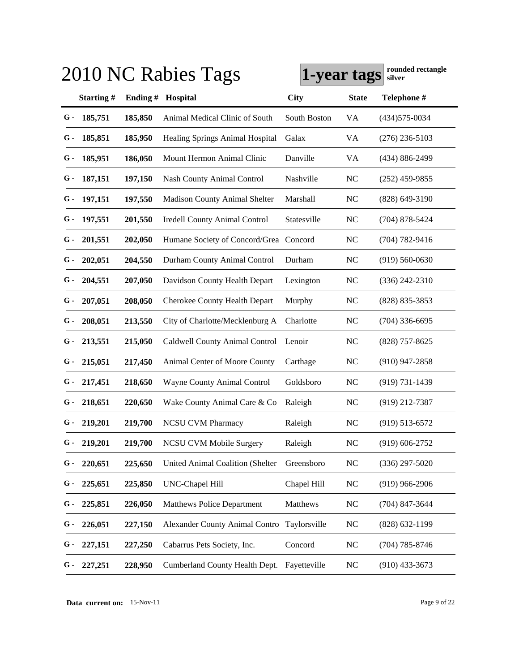|      |               |            | 2010 NC Rabies Tags                     | 1-year tags  |              | rounded rectangle<br>silver |
|------|---------------|------------|-----------------------------------------|--------------|--------------|-----------------------------|
|      | Starting#     | Ending $#$ | Hospital                                | City         | <b>State</b> | Telephone #                 |
| G -  | 185,751       | 185,850    | Animal Medical Clinic of South          | South Boston | VA           | $(434)575 - 0034$           |
| G -  | 185,851       | 185,950    | <b>Healing Springs Animal Hospital</b>  | Galax        | VA           | $(276)$ 236-5103            |
| G -  | 185,951       | 186,050    | Mount Hermon Animal Clinic              | Danville     | VA           | (434) 886-2499              |
| G -  | 187,151       | 197,150    | <b>Nash County Animal Control</b>       | Nashville    | <b>NC</b>    | $(252)$ 459-9855            |
| G -  | 197,151       | 197,550    | <b>Madison County Animal Shelter</b>    | Marshall     | <b>NC</b>    | $(828)$ 649-3190            |
| G -  | 197,551       | 201,550    | <b>Iredell County Animal Control</b>    | Statesville  | <b>NC</b>    | $(704)$ 878-5424            |
| G -  | 201,551       | 202,050    | Humane Society of Concord/Grea Concord  |              | <b>NC</b>    | $(704) 782 - 9416$          |
| G -  | 202,051       | 204,550    | Durham County Animal Control            | Durham       | <b>NC</b>    | $(919) 560 - 0630$          |
| G -  | 204,551       | 207,050    | Davidson County Health Depart           | Lexington    | NC           | $(336)$ 242-2310            |
| G -  | 207,051       | 208,050    | <b>Cherokee County Health Depart</b>    | Murphy       | NC           | $(828) 835 - 3853$          |
| G -  | 208,051       | 213,550    | City of Charlotte/Mecklenburg A         | Charlotte    | <b>NC</b>    | $(704)$ 336-6695            |
| G -  | 213,551       | 215,050    | Caldwell County Animal Control          | Lenoir       | <b>NC</b>    | $(828)$ 757-8625            |
| $G-$ | 215,051       | 217,450    | Animal Center of Moore County           | Carthage     | NC           | $(910)$ 947-2858            |
| G -  | 217,451       | 218,650    | Wayne County Animal Control             | Goldsboro    | <b>NC</b>    | $(919) 731 - 1439$          |
| G -  | 218,651       | 220,650    | Wake County Animal Care & Co            | Raleigh      | <b>NC</b>    | (919) 212-7387              |
| G -  | 219,201       | 219,700    | <b>NCSU CVM Pharmacy</b>                | Raleigh      | <b>NC</b>    | $(919)$ 513-6572            |
|      | $G - 219,201$ | 219,700    | NCSU CVM Mobile Surgery                 | Raleigh      | NC           | $(919)$ 606-2752            |
| G -  | 220,651       | 225,650    | <b>United Animal Coalition (Shelter</b> | Greensboro   | <b>NC</b>    | $(336)$ 297-5020            |
| G -  | 225,651       | 225,850    | UNC-Chapel Hill                         | Chapel Hill  | <b>NC</b>    | $(919)$ 966-2906            |
| G -  | 225,851       | 226,050    | <b>Matthews Police Department</b>       | Matthews     | <b>NC</b>    | (704) 847-3644              |
| G -  | 226,051       | 227,150    | <b>Alexander County Animal Contro</b>   | Taylorsville | <b>NC</b>    | (828) 632-1199              |
| G -  | 227,151       | 227,250    | Cabarrus Pets Society, Inc.             | Concord      | NC           | $(704)$ 785-8746            |
| G -  | 227,251       | 228,950    | Cumberland County Health Dept.          | Fayetteville | <b>NC</b>    | $(910)$ 433-3673            |

**Data current on:** 15-Nov-11 Page 9 of 22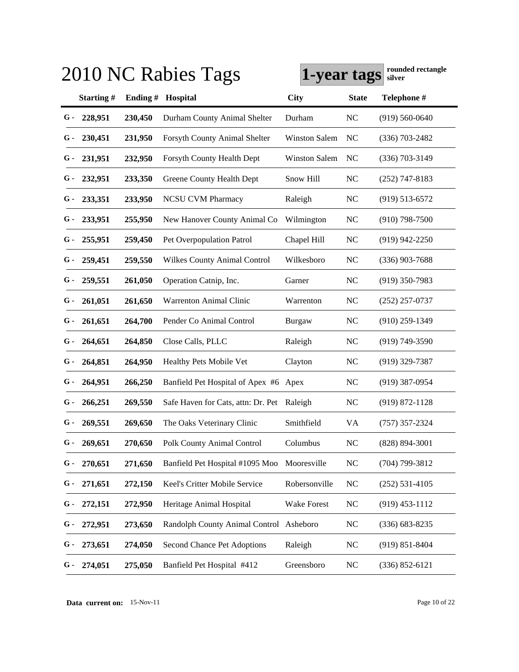|     | rounded rectangle<br>2010 NC Rabies Tags<br>1-year tags<br>silver |         |                                         |                      |                |                    |  |  |  |
|-----|-------------------------------------------------------------------|---------|-----------------------------------------|----------------------|----------------|--------------------|--|--|--|
|     | Starting#                                                         | Ending# | Hospital                                | City                 | <b>State</b>   | Telephone #        |  |  |  |
| G-  | 228,951                                                           | 230,450 | Durham County Animal Shelter            | Durham               | N <sub>C</sub> | $(919) 560 - 0640$ |  |  |  |
| G - | 230,451                                                           | 231,950 | Forsyth County Animal Shelter           | <b>Winston Salem</b> | NC             | $(336)$ 703-2482   |  |  |  |
| G - | 231,951                                                           | 232,950 | Forsyth County Health Dept              | <b>Winston Salem</b> | NC             | $(336)$ 703-3149   |  |  |  |
| G - | 232,951                                                           | 233,350 | Greene County Health Dept               | Snow Hill            | NC             | $(252)$ 747-8183   |  |  |  |
| G - | 233,351                                                           | 233,950 | <b>NCSU CVM Pharmacy</b>                | Raleigh              | N <sub>C</sub> | $(919)$ 513-6572   |  |  |  |
| G - | 233,951                                                           | 255,950 | New Hanover County Animal Co            | Wilmington           | NC             | $(910)$ 798-7500   |  |  |  |
| G - | 255,951                                                           | 259,450 | Pet Overpopulation Patrol               | Chapel Hill          | N <sub>C</sub> | $(919)$ 942-2250   |  |  |  |
| G - | 259,451                                                           | 259,550 | <b>Wilkes County Animal Control</b>     | Wilkesboro           | NC             | $(336)$ 903-7688   |  |  |  |
| G - | 259,551                                                           | 261,050 | Operation Catnip, Inc.                  | Garner               | <b>NC</b>      | $(919)$ 350-7983   |  |  |  |
| G - | 261,051                                                           | 261,650 | Warrenton Animal Clinic                 | Warrenton            | NC             | $(252)$ 257-0737   |  |  |  |
| G - | 261,651                                                           | 264,700 | Pender Co Animal Control                | <b>Burgaw</b>        | N <sub>C</sub> | $(910)$ 259-1349   |  |  |  |
| G - | 264,651                                                           | 264,850 | Close Calls, PLLC                       | Raleigh              | NC             | $(919)$ 749-3590   |  |  |  |
| G - | 264,851                                                           | 264,950 | Healthy Pets Mobile Vet                 | Clayton              | N <sub>C</sub> | $(919)$ 329-7387   |  |  |  |
| G - | 264,951                                                           | 266,250 | Banfield Pet Hospital of Apex #6 Apex   |                      | NC             | $(919)$ 387-0954   |  |  |  |
| G - | 266,251                                                           | 269,550 | Safe Haven for Cats, attn: Dr. Pet      | Raleigh              | <b>NC</b>      | $(919) 872 - 1128$ |  |  |  |
| G - | 269,551                                                           | 269,650 | The Oaks Veterinary Clinic              | Smithfield           | VA             | $(757)$ 357-2324   |  |  |  |
|     | $G - 269,651$                                                     | 270,650 | Polk County Animal Control              | Columbus             | NC             | $(828) 894 - 3001$ |  |  |  |
| G - | 270,651                                                           | 271,650 | Banfield Pet Hospital #1095 Moo         | Mooresville          | <b>NC</b>      | $(704)$ 799-3812   |  |  |  |
| G - | 271,651                                                           | 272,150 | Keel's Critter Mobile Service           | Robersonville        | NC             | $(252) 531 - 4105$ |  |  |  |
| G - | 272,151                                                           | 272,950 | Heritage Animal Hospital                | <b>Wake Forest</b>   | NC             | $(919)$ 453-1112   |  |  |  |
| G - | 272,951                                                           | 273,650 | Randolph County Animal Control Asheboro |                      | NC             | $(336) 683 - 8235$ |  |  |  |
| G - | 273,651                                                           | 274,050 | Second Chance Pet Adoptions             | Raleigh              | NC             | $(919) 851 - 8404$ |  |  |  |
| G - | 274,051                                                           | 275,050 | Banfield Pet Hospital #412              | Greensboro           | NC             | $(336) 852 - 6121$ |  |  |  |

**Data current on:** 15-Nov-11 Page 10 of 22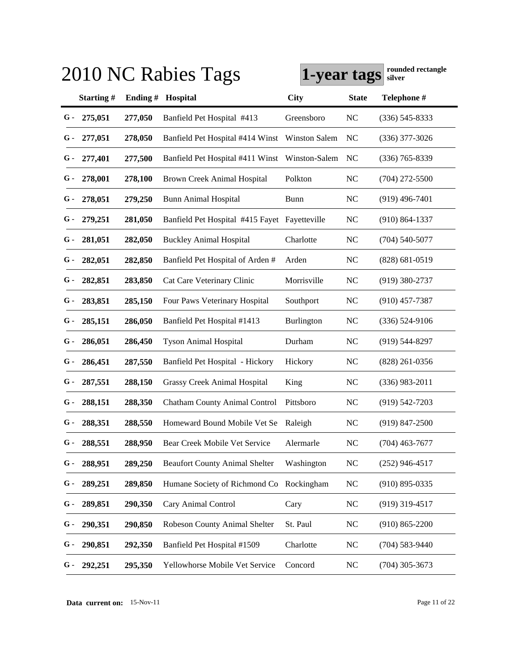|       |               |         | 2010 NC Rabies Tags                           | 1-year tags          |              | rounded rectangle<br>silver |
|-------|---------------|---------|-----------------------------------------------|----------------------|--------------|-----------------------------|
|       | Starting#     | Ending# | Hospital                                      | <b>City</b>          | <b>State</b> | Telephone #                 |
| G-    | 275,051       | 277,050 | Banfield Pet Hospital #413                    | Greensboro           | <b>NC</b>    | $(336)$ 545-8333            |
| G -   | 277,051       | 278,050 | Banfield Pet Hospital #414 Winst              | <b>Winston Salem</b> | NC           | $(336)$ 377-3026            |
| G -   | 277,401       | 277,500 | Banfield Pet Hospital #411 Winst              | Winston-Salem        | NC           | $(336)$ 765-8339            |
| G -   | 278,001       | 278,100 | Brown Creek Animal Hospital                   | Polkton              | <b>NC</b>    | $(704)$ 272-5500            |
| G -   | 278,051       | 279,250 | <b>Bunn Animal Hospital</b>                   | Bunn                 | <b>NC</b>    | $(919)$ 496-7401            |
| G -   | 279,251       | 281,050 | Banfield Pet Hospital #415 Fayet Fayetteville |                      | <b>NC</b>    | $(910) 864 - 1337$          |
| G -   | 281,051       | 282,050 | <b>Buckley Animal Hospital</b>                | Charlotte            | <b>NC</b>    | $(704)$ 540-5077            |
| $G$ - | 282,051       | 282,850 | Banfield Pet Hospital of Arden #              | Arden                | <b>NC</b>    | $(828) 681 - 0519$          |
| $G$ - | 282,851       | 283,850 | Cat Care Veterinary Clinic                    | Morrisville          | <b>NC</b>    | $(919)$ 380-2737            |
| G -   | 283,851       | 285,150 | Four Paws Veterinary Hospital                 | Southport            | <b>NC</b>    | $(910)$ 457-7387            |
| G -   | 285,151       | 286,050 | Banfield Pet Hospital #1413                   | <b>Burlington</b>    | <b>NC</b>    | $(336) 524-9106$            |
| G -   | 286,051       | 286,450 | <b>Tyson Animal Hospital</b>                  | Durham               | <b>NC</b>    | $(919)$ 544-8297            |
| G -   | 286,451       | 287,550 | Banfield Pet Hospital - Hickory               | Hickory              | <b>NC</b>    | $(828)$ 261-0356            |
| G -   | 287,551       | 288,150 | Grassy Creek Animal Hospital                  | King                 | <b>NC</b>    | $(336)$ 983-2011            |
| G -   | 288,151       | 288,350 | <b>Chatham County Animal Control</b>          | Pittsboro            | <b>NC</b>    | $(919)$ 542-7203            |
| G -   | 288,351       | 288,550 | Homeward Bound Mobile Vet Se                  | Raleigh              | <b>NC</b>    | $(919)$ 847-2500            |
|       | $G - 288,551$ | 288,950 | Bear Creek Mobile Vet Service                 | Alermarle            | NC           | $(704)$ 463-7677            |
| G -   | 288,951       | 289,250 | <b>Beaufort County Animal Shelter</b>         | Washington           | <b>NC</b>    | $(252)$ 946-4517            |
| G -   | 289,251       | 289,850 | Humane Society of Richmond Co Rockingham      |                      | <b>NC</b>    | $(910) 895 - 0335$          |
| G -   | 289,851       | 290,350 | Cary Animal Control                           | Cary                 | <b>NC</b>    | $(919)$ 319-4517            |
| G -   | 290,351       | 290,850 | Robeson County Animal Shelter                 | St. Paul             | <b>NC</b>    | $(910) 865 - 2200$          |
| G -   | 290,851       | 292,350 | Banfield Pet Hospital #1509                   | Charlotte            | <b>NC</b>    | $(704) 583 - 9440$          |
| G -   | 292,251       | 295,350 | Yellowhorse Mobile Vet Service                | Concord              | <b>NC</b>    | $(704)$ 305-3673            |

**Data current on:** 15-Nov-11 Page 11 of 22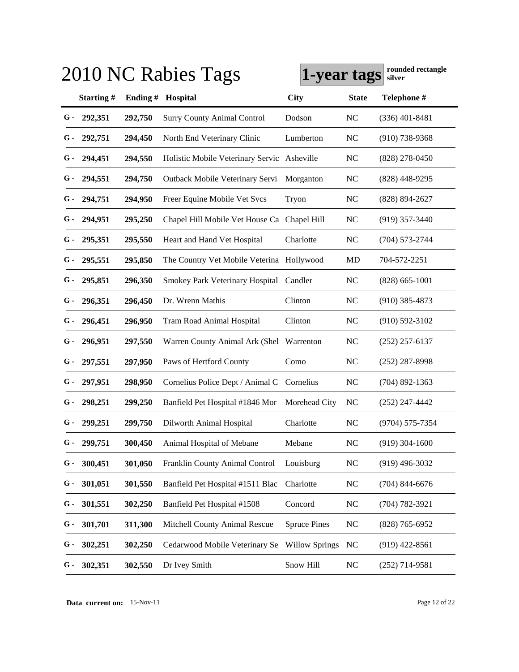|     |               |            | 2010 NC Rabies Tags                         | 1-year tags           |                | rounded rectangle<br>silver |
|-----|---------------|------------|---------------------------------------------|-----------------------|----------------|-----------------------------|
|     | Starting#     | Ending $#$ | Hospital                                    | City                  | <b>State</b>   | Telephone #                 |
| G - | 292,351       | 292,750    | <b>Surry County Animal Control</b>          | Dodson                | <b>NC</b>      | $(336)$ 401-8481            |
| G - | 292,751       | 294,450    | North End Veterinary Clinic                 | Lumberton             | N <sub>C</sub> | $(910)$ 738-9368            |
| G - | 294,451       | 294,550    | Holistic Mobile Veterinary Servic Asheville |                       | N <sub>C</sub> | $(828)$ 278-0450            |
| G - | 294,551       | 294,750    | Outback Mobile Veterinary Servi             | Morganton             | <b>NC</b>      | $(828)$ 448-9295            |
| G - | 294,751       | 294,950    | Freer Equine Mobile Vet Svcs                | Tryon                 | <b>NC</b>      | $(828) 894 - 2627$          |
| G - | 294,951       | 295,250    | Chapel Hill Mobile Vet House Ca Chapel Hill |                       | <b>NC</b>      | $(919)$ 357-3440            |
| G - | 295,351       | 295,550    | Heart and Hand Vet Hospital                 | Charlotte             | <b>NC</b>      | $(704) 573 - 2744$          |
| G - | 295,551       | 295,850    | The Country Vet Mobile Veterina Hollywood   |                       | MD             | 704-572-2251                |
| G - | 295,851       | 296,350    | Smokey Park Veterinary Hospital Candler     |                       | <b>NC</b>      | $(828) 665 - 1001$          |
| G - | 296,351       | 296,450    | Dr. Wrenn Mathis                            | Clinton               | <b>NC</b>      | $(910)$ 385-4873            |
| G - | 296,451       | 296,950    | Tram Road Animal Hospital                   | Clinton               | <b>NC</b>      | $(910) 592 - 3102$          |
| G - | 296,951       | 297,550    | Warren County Animal Ark (Shel              | Warrenton             | <b>NC</b>      | $(252)$ 257-6137            |
| G - | 297,551       | 297,950    | Paws of Hertford County                     | Como                  | <b>NC</b>      | $(252)$ 287-8998            |
| G - | 297,951       | 298,950    | Cornelius Police Dept / Animal C            | Cornelius             | N <sub>C</sub> | $(704)$ 892-1363            |
| G - | 298,251       | 299,250    | Banfield Pet Hospital #1846 Mor             | Morehead City         | NC             | $(252)$ 247-4442            |
| G - | 299,251       | 299,750    | Dilworth Animal Hospital                    | Charlotte             | <b>NC</b>      | (9704) 575-7354             |
|     | $G - 299,751$ | 300,450    | Animal Hospital of Mebane                   | Mebane                | NC             | $(919)$ 304-1600            |
| G - | 300,451       | 301,050    | Franklin County Animal Control              | Louisburg             | <b>NC</b>      | $(919)$ 496-3032            |
| G - | 301,051       | 301,550    | Banfield Pet Hospital #1511 Blac            | Charlotte             | <b>NC</b>      | $(704)$ 844-6676            |
| G - | 301,551       | 302,250    | Banfield Pet Hospital #1508                 | Concord               | <b>NC</b>      | (704) 782-3921              |
| G - | 301,701       | 311,300    | Mitchell County Animal Rescue               | <b>Spruce Pines</b>   | <b>NC</b>      | $(828)$ 765-6952            |
| G - | 302,251       | 302,250    | Cedarwood Mobile Veterinary Se              | <b>Willow Springs</b> | NC             | $(919)$ 422-8561            |
| G - | 302,351       | 302,550    | Dr Ivey Smith                               | Snow Hill             | NC             | $(252)$ 714-9581            |

**Data current on:** 15-Nov-11 Page 12 of 22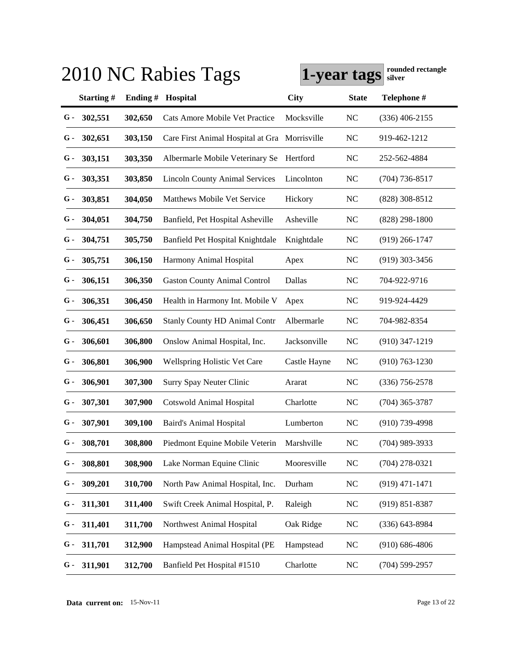| 2010 NC Rabies Tags | rounded rectangle<br>1-year tags<br>silver |         |                                               |              |              |                    |
|---------------------|--------------------------------------------|---------|-----------------------------------------------|--------------|--------------|--------------------|
|                     | Starting#                                  | Ending# | Hospital                                      | City         | <b>State</b> | Telephone #        |
| G-                  | 302,551                                    | 302,650 | Cats Amore Mobile Vet Practice                | Mocksville   | <b>NC</b>    | $(336)$ 406-2155   |
| G -                 | 302,651                                    | 303,150 | Care First Animal Hospital at Gra Morrisville |              | <b>NC</b>    | 919-462-1212       |
| G -                 | 303,151                                    | 303,350 | Albermarle Mobile Veterinary Se               | Hertford     | <b>NC</b>    | 252-562-4884       |
| G -                 | 303,351                                    | 303,850 | <b>Lincoln County Animal Services</b>         | Lincolnton   | <b>NC</b>    | $(704)$ 736-8517   |
| G -                 | 303,851                                    | 304,050 | Matthews Mobile Vet Service                   | Hickory      | <b>NC</b>    | $(828)$ 308-8512   |
| G -                 | 304,051                                    | 304,750 | Banfield, Pet Hospital Asheville              | Asheville    | <b>NC</b>    | $(828)$ 298-1800   |
| G -                 | 304,751                                    | 305,750 | Banfield Pet Hospital Knightdale              | Knightdale   | NC           | $(919)$ 266-1747   |
| G -                 | 305,751                                    | 306,150 | Harmony Animal Hospital                       | Apex         | NC           | $(919)$ 303-3456   |
| G -                 | 306,151                                    | 306,350 | <b>Gaston County Animal Control</b>           | Dallas       | <b>NC</b>    | 704-922-9716       |
| G -                 | 306,351                                    | 306,450 | Health in Harmony Int. Mobile V               | Apex         | <b>NC</b>    | 919-924-4429       |
| G -                 | 306,451                                    | 306,650 | <b>Stanly County HD Animal Contr</b>          | Albermarle   | NC           | 704-982-8354       |
| G -                 | 306,601                                    | 306,800 | Onslow Animal Hospital, Inc.                  | Jacksonville | NC           | $(910)$ 347-1219   |
| G -                 | 306,801                                    | 306,900 | <b>Wellspring Holistic Vet Care</b>           | Castle Hayne | NC           | $(910)$ 763-1230   |
| G -                 | 306,901                                    | 307,300 | Surry Spay Neuter Clinic                      | Ararat       | NC           | $(336)$ 756-2578   |
| G -                 | 307,301                                    | 307,900 | <b>Cotswold Animal Hospital</b>               | Charlotte    | <b>NC</b>    | $(704)$ 365-3787   |
| G -                 | 307,901                                    | 309,100 | Baird's Animal Hospital                       | Lumberton    | NC           | $(910)$ 739-4998   |
|                     | $G - 308,701$                              | 308,800 | Piedmont Equine Mobile Veterin                | Marshville   | NC           | $(704)$ 989-3933   |
| G -                 | 308,801                                    | 308,900 | Lake Norman Equine Clinic                     | Mooresville  | NC           | $(704)$ 278-0321   |
| G -                 | 309,201                                    | 310,700 | North Paw Animal Hospital, Inc.               | Durham       | NC           | $(919)$ 471-1471   |
| G -                 | 311,301                                    | 311,400 | Swift Creek Animal Hospital, P.               | Raleigh      | NC           | $(919) 851 - 8387$ |
| G -                 | 311,401                                    | 311,700 | Northwest Animal Hospital                     | Oak Ridge    | NC           | $(336) 643 - 8984$ |
| G -                 | 311,701                                    | 312,900 | Hampstead Animal Hospital (PE                 | Hampstead    | NC           | $(910) 686 - 4806$ |
| G -                 | 311,901                                    | 312,700 | Banfield Pet Hospital #1510                   | Charlotte    | NC           | $(704)$ 599-2957   |

**Data current on:** 15-Nov-11 Page 13 of 22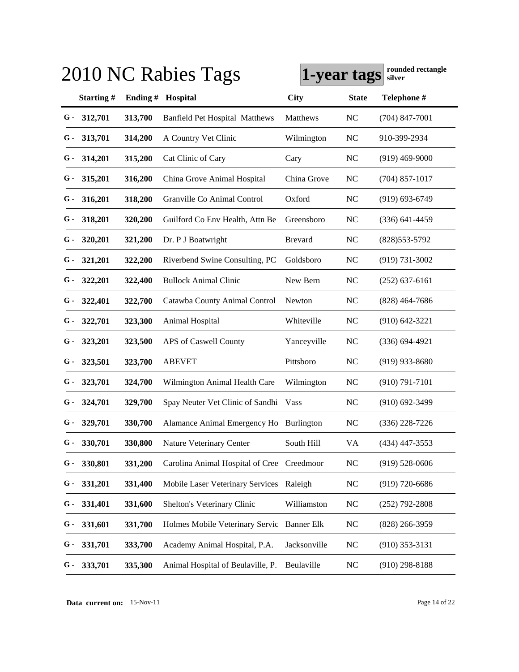| rounded rectangle<br>2010 NC Rabies Tags<br>1-year tags<br>silver |         |                                            |                |              |                    |  |
|-------------------------------------------------------------------|---------|--------------------------------------------|----------------|--------------|--------------------|--|
| Starting#                                                         | Ending# | Hospital                                   | City           | <b>State</b> | Telephone #        |  |
| 312,701<br>G -                                                    | 313,700 | <b>Banfield Pet Hospital Matthews</b>      | Matthews       | <b>NC</b>    | $(704)$ 847-7001   |  |
| 313,701<br>G -                                                    | 314,200 | A Country Vet Clinic                       | Wilmington     | NC           | 910-399-2934       |  |
| 314,201<br>G -                                                    | 315,200 | Cat Clinic of Cary                         | Cary           | <b>NC</b>    | $(919)$ 469-9000   |  |
| 315,201<br>G -                                                    | 316,200 | China Grove Animal Hospital                | China Grove    | <b>NC</b>    | $(704)$ 857-1017   |  |
| 316,201<br>G -                                                    | 318,200 | Granville Co Animal Control                | Oxford         | NC           | $(919) 693 - 6749$ |  |
| G -<br>318,201                                                    | 320,200 | Guilford Co Env Health, Attn Be            | Greensboro     | <b>NC</b>    | $(336)$ 641-4459   |  |
| G -<br>320,201                                                    | 321,200 | Dr. P J Boatwright                         | <b>Brevard</b> | NC           | $(828)$ 553-5792   |  |
| 321,201<br>G -                                                    | 322,200 | Riverbend Swine Consulting, PC             | Goldsboro      | NC           | $(919) 731 - 3002$ |  |
| 322,201<br>G -                                                    | 322,400 | <b>Bullock Animal Clinic</b>               | New Bern       | NC           | $(252)$ 637-6161   |  |
| 322,401<br>G -                                                    | 322,700 | Catawba County Animal Control              | Newton         | <b>NC</b>    | $(828)$ 464-7686   |  |
| 322,701<br>G -                                                    | 323,300 | Animal Hospital                            | Whiteville     | <b>NC</b>    | $(910)$ 642-3221   |  |
| 323,201<br>G -                                                    | 323,500 | APS of Caswell County                      | Yanceyville    | NC           | $(336) 694 - 4921$ |  |
| 323,501<br>G -                                                    | 323,700 | <b>ABEVET</b>                              | Pittsboro      | NC           | $(919)$ 933-8680   |  |
| 323,701<br>G -                                                    | 324,700 | Wilmington Animal Health Care              | Wilmington     | NC           | $(910) 791 - 7101$ |  |
| 324,701<br>G -                                                    | 329,700 | Spay Neuter Vet Clinic of Sandhi           | <b>Vass</b>    | <b>NC</b>    | $(910)$ 692-3499   |  |
| 329,701<br>G -                                                    | 330,700 | Alamance Animal Emergency Ho Burlington    |                | <b>NC</b>    | $(336)$ 228-7226   |  |
| $G - 330,701$                                                     | 330,800 | Nature Veterinary Center                   | South Hill     | VA           | $(434)$ 447-3553   |  |
| 330,801<br>G -                                                    | 331,200 | Carolina Animal Hospital of Cree Creedmoor |                | NC           | $(919) 528 - 0606$ |  |
| 331,201<br>G -                                                    | 331,400 | Mobile Laser Veterinary Services           | Raleigh        | NC           | $(919)$ 720-6686   |  |
| 331,401<br>G -                                                    | 331,600 | Shelton's Veterinary Clinic                | Williamston    | NC           | $(252)$ 792-2808   |  |
| 331,601<br>G -                                                    | 331,700 | Holmes Mobile Veterinary Servic Banner Elk |                | NC           | $(828)$ 266-3959   |  |
| 331,701<br>G -                                                    | 333,700 | Academy Animal Hospital, P.A.              | Jacksonville   | NC           | $(910)$ 353-3131   |  |
| 333,701<br>G -                                                    | 335,300 | Animal Hospital of Beulaville, P.          | Beulaville     | NC           | $(910)$ 298-8188   |  |

**Data current on:** 15-Nov-11 Page 14 of 22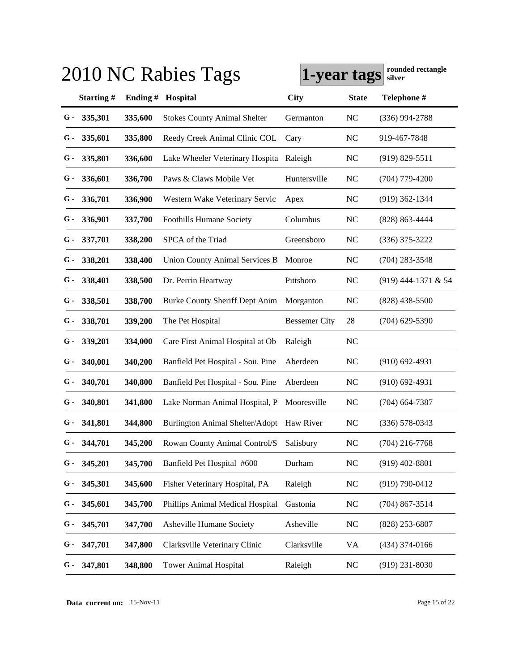|       |               |            | 2010 NC Rabies Tags                     | 1-year tags          |                | rounded rectangle<br>silver |
|-------|---------------|------------|-----------------------------------------|----------------------|----------------|-----------------------------|
|       | Starting#     | Ending $#$ | Hospital                                | City                 | <b>State</b>   | Telephone #                 |
| G-    | 335,301       | 335,600    | <b>Stokes County Animal Shelter</b>     | Germanton            | <b>NC</b>      | $(336)$ 994-2788            |
| G -   | 335,601       | 335,800    | Reedy Creek Animal Clinic COL           | Cary                 | N <sub>C</sub> | 919-467-7848                |
| G -   | 335,801       | 336,600    | Lake Wheeler Veterinary Hospita         | Raleigh              | <b>NC</b>      | $(919) 829 - 5511$          |
| $G-$  | 336,601       | 336,700    | Paws & Claws Mobile Vet                 | Huntersville         | N <sub>C</sub> | $(704)$ 779-4200            |
| $G-$  | 336,701       | 336,900    | Western Wake Veterinary Servic          | Apex                 | <b>NC</b>      | $(919)$ 362-1344            |
| G -   | 336,901       | 337,700    | <b>Foothills Humane Society</b>         | Columbus             | <b>NC</b>      | (828) 863-4444              |
| G -   | 337,701       | 338,200    | SPCA of the Triad                       | Greensboro           | <b>NC</b>      | $(336)$ 375-3222            |
| G -   | 338,201       | 338,400    | <b>Union County Animal Services B</b>   | Monroe               | <b>NC</b>      | $(704)$ 283-3548            |
| $G$ - | 338,401       | 338,500    | Dr. Perrin Heartway                     | Pittsboro            | <b>NC</b>      | (919) 444-1371 & 54         |
| G -   | 338,501       | 338,700    | <b>Burke County Sheriff Dept Anim</b>   | Morganton            | NC             | $(828)$ 438-5500            |
| G -   | 338,701       | 339,200    | The Pet Hospital                        | <b>Bessemer City</b> | 28             | $(704)$ 629-5390            |
| G -   | 339,201       | 334,000    | Care First Animal Hospital at Ob        | Raleigh              | <b>NC</b>      |                             |
| $G-$  | 340,001       | 340,200    | Banfield Pet Hospital - Sou. Pine       | Aberdeen             | <b>NC</b>      | $(910)$ 692-4931            |
| G -   | 340,701       | 340,800    | Banfield Pet Hospital - Sou. Pine       | Aberdeen             | <b>NC</b>      | $(910)$ 692-4931            |
| G -   | 340,801       | 341,800    | Lake Norman Animal Hospital, P          | Mooresville          | <b>NC</b>      | $(704)$ 664-7387            |
| G -   | 341,801       | 344,800    | Burlington Animal Shelter/Adopt         | Haw River            | <b>NC</b>      | $(336)$ 578-0343            |
|       | $G - 344,701$ | 345,200    | Rowan County Animal Control/S Salisbury |                      | NC             | $(704)$ 216-7768            |
| G -   | 345,201       | 345,700    | Banfield Pet Hospital #600              | Durham               | <b>NC</b>      | $(919)$ 402-8801            |
| G -   | 345,301       | 345,600    | Fisher Veterinary Hospital, PA          | Raleigh              | <b>NC</b>      | $(919) 790 - 0412$          |
| G -   | 345,601       | 345,700    | Phillips Animal Medical Hospital        | Gastonia             | <b>NC</b>      | $(704) 867 - 3514$          |
| G -   | 345,701       | 347,700    | Asheville Humane Society                | Asheville            | <b>NC</b>      | $(828)$ 253-6807            |
| G -   | 347,701       | 347,800    | Clarksville Veterinary Clinic           | Clarksville          | VA             | $(434)$ 374-0166            |
| G -   | 347,801       | 348,800    | <b>Tower Animal Hospital</b>            | Raleigh              | <b>NC</b>      | $(919)$ 231-8030            |

**Data current on:** 15-Nov-11 Page 15 of 22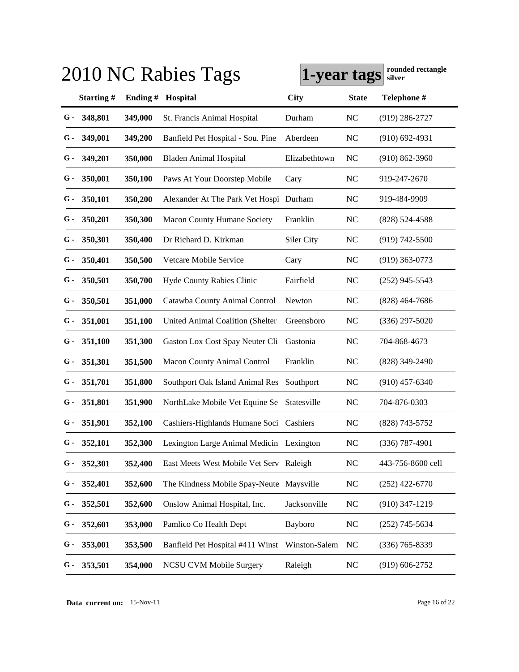| 2010 NC Rabies Tags | rounded rectangle<br>1-year tags<br>silver |         |                                          |               |              |                    |
|---------------------|--------------------------------------------|---------|------------------------------------------|---------------|--------------|--------------------|
|                     | Starting#                                  | Ending# | Hospital                                 | City          | <b>State</b> | Telephone #        |
| G-                  | 348,801                                    | 349,000 | St. Francis Animal Hospital              | Durham        | <b>NC</b>    | $(919)$ 286-2727   |
| G -                 | 349,001                                    | 349,200 | Banfield Pet Hospital - Sou. Pine        | Aberdeen      | <b>NC</b>    | $(910)$ 692-4931   |
| G -                 | 349,201                                    | 350,000 | <b>Bladen Animal Hospital</b>            | Elizabethtown | NC           | $(910) 862 - 3960$ |
| G -                 | 350,001                                    | 350,100 | Paws At Your Doorstep Mobile             | Cary          | <b>NC</b>    | 919-247-2670       |
| G -                 | 350,101                                    | 350,200 | Alexander At The Park Vet Hospi Durham   |               | <b>NC</b>    | 919-484-9909       |
| G -                 | 350,201                                    | 350,300 | <b>Macon County Humane Society</b>       | Franklin      | NC           | $(828)$ 524-4588   |
| G -                 | 350,301                                    | 350,400 | Dr Richard D. Kirkman                    | Siler City    | NC           | $(919) 742 - 5500$ |
| G -                 | 350,401                                    | 350,500 | Vetcare Mobile Service                   | Cary          | NC           | $(919)$ 363-0773   |
| G -                 | 350,501                                    | 350,700 | Hyde County Rabies Clinic                | Fairfield     | <b>NC</b>    | $(252)$ 945-5543   |
| G -                 | 350,501                                    | 351,000 | Catawba County Animal Control            | Newton        | <b>NC</b>    | $(828)$ 464-7686   |
| G -                 | 351,001                                    | 351,100 | United Animal Coalition (Shelter         | Greensboro    | <b>NC</b>    | $(336)$ 297-5020   |
| G -                 | 351,100                                    | 351,300 | Gaston Lox Cost Spay Neuter Cli          | Gastonia      | <b>NC</b>    | 704-868-4673       |
| G -                 | 351,301                                    | 351,500 | <b>Macon County Animal Control</b>       | Franklin      | NC           | $(828)$ 349-2490   |
| G -                 | 351,701                                    | 351,800 | Southport Oak Island Animal Res          | Southport     | NC           | $(910)$ 457-6340   |
| G -                 | 351,801                                    | 351,900 | NorthLake Mobile Vet Equine Se           | Statesville   | NC           | 704-876-0303       |
| G -                 | 351,901                                    | 352,100 | Cashiers-Highlands Humane Soci Cashiers  |               | <b>NC</b>    | $(828)$ 743-5752   |
|                     | $G - 352,101$                              | 352,300 | Lexington Large Animal Medicin Lexington |               | NC           | $(336)$ 787-4901   |
| G -                 | 352,301                                    | 352,400 | East Meets West Mobile Vet Serv Raleigh  |               | NC           | 443-756-8600 cell  |
| G -                 | 352,401                                    | 352,600 | The Kindness Mobile Spay-Neute Maysville |               | NC           | $(252)$ 422-6770   |
| G -                 | 352,501                                    | 352,600 | Onslow Animal Hospital, Inc.             | Jacksonville  | NC           | $(910)$ 347-1219   |
| G -                 | 352,601                                    | 353,000 | Pamlico Co Health Dept                   | Bayboro       | NC           | $(252)$ 745-5634   |
| G -                 | 353,001                                    | 353,500 | Banfield Pet Hospital #411 Winst         | Winston-Salem | <b>NC</b>    | $(336)$ 765-8339   |
| G -                 | 353,501                                    | 354,000 | <b>NCSU CVM Mobile Surgery</b>           | Raleigh       | $\rm NC$     | $(919) 606 - 2752$ |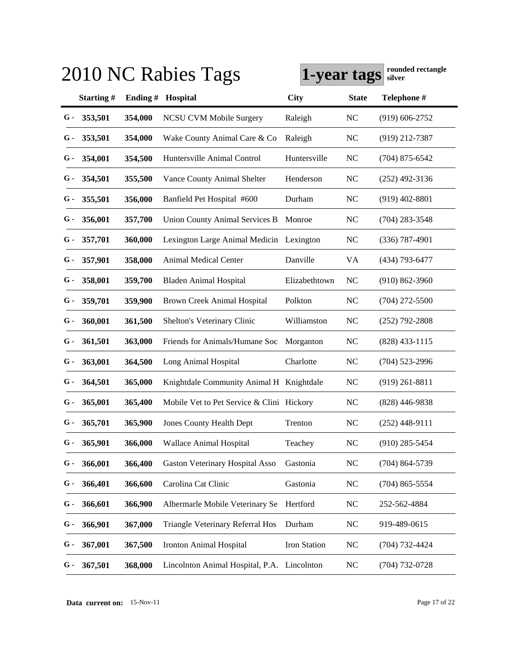| rounded rectangle<br>2010 NC Rabies Tags<br>1-year tags<br>silver |         |                                    |               |                                                                                                                                                                                  |                    |  |
|-------------------------------------------------------------------|---------|------------------------------------|---------------|----------------------------------------------------------------------------------------------------------------------------------------------------------------------------------|--------------------|--|
| Starting#                                                         |         | Hospital                           | City          | <b>State</b>                                                                                                                                                                     | Telephone #        |  |
| 353,501                                                           | 354,000 | <b>NCSU CVM Mobile Surgery</b>     | Raleigh       | NC                                                                                                                                                                               | $(919)$ 606-2752   |  |
| 353,501                                                           | 354,000 | Wake County Animal Care & Co       | Raleigh       | <b>NC</b>                                                                                                                                                                        | $(919)$ 212-7387   |  |
| 354,001                                                           | 354,500 | Huntersville Animal Control        | Huntersville  | NC                                                                                                                                                                               | $(704)$ 875-6542   |  |
| 354,501                                                           | 355,500 | Vance County Animal Shelter        | Henderson     | <b>NC</b>                                                                                                                                                                        | $(252)$ 492-3136   |  |
| 355,501                                                           | 356,000 | Banfield Pet Hospital #600         | Durham        | NC                                                                                                                                                                               | $(919)$ 402-8801   |  |
| 356,001                                                           | 357,700 | Union County Animal Services B     | Monroe        | NC                                                                                                                                                                               | $(704)$ 283-3548   |  |
| 357,701                                                           | 360,000 |                                    |               | <b>NC</b>                                                                                                                                                                        | $(336)$ 787-4901   |  |
| 357,901                                                           | 358,000 | <b>Animal Medical Center</b>       | Danville      | VA                                                                                                                                                                               | (434) 793-6477     |  |
| 358,001                                                           | 359,700 | <b>Bladen Animal Hospital</b>      | Elizabethtown | NC                                                                                                                                                                               | $(910) 862 - 3960$ |  |
| 359,701                                                           | 359,900 | <b>Brown Creek Animal Hospital</b> | Polkton       | NC                                                                                                                                                                               | $(704)$ 272-5500   |  |
| 360,001                                                           | 361,500 | Shelton's Veterinary Clinic        | Williamston   | NC                                                                                                                                                                               | $(252)$ 792-2808   |  |
| 361,501                                                           | 363,000 | Friends for Animals/Humane Soc     | Morganton     | NC                                                                                                                                                                               | $(828)$ 433-1115   |  |
| 363,001                                                           | 364,500 | Long Animal Hospital               | Charlotte     | NC                                                                                                                                                                               | $(704)$ 523-2996   |  |
| 364,501                                                           | 365,000 |                                    |               | NC                                                                                                                                                                               | $(919)$ 261-8811   |  |
| 365,001                                                           | 365,400 |                                    |               | <b>NC</b>                                                                                                                                                                        | $(828)$ 446-9838   |  |
| 365,701                                                           | 365,900 | <b>Jones County Health Dept</b>    | Trenton       | NC                                                                                                                                                                               | $(252)$ 448-9111   |  |
| $G - 365,901$                                                     | 366,000 | Wallace Animal Hospital            | Teachey       | NC                                                                                                                                                                               | $(910)$ 285-5454   |  |
| 366,001                                                           | 366,400 | Gaston Veterinary Hospital Asso    | Gastonia      | NC                                                                                                                                                                               | $(704)$ 864-5739   |  |
| 366,401                                                           | 366,600 | Carolina Cat Clinic                | Gastonia      | NC                                                                                                                                                                               | $(704)$ 865-5554   |  |
| 366,601                                                           | 366,900 | Albermarle Mobile Veterinary Se    | Hertford      | NC                                                                                                                                                                               | 252-562-4884       |  |
| 366,901                                                           | 367,000 | Triangle Veterinary Referral Hos   | Durham        | NC                                                                                                                                                                               | 919-489-0615       |  |
| 367,001                                                           | 367,500 | <b>Ironton Animal Hospital</b>     | Iron Station  | NC                                                                                                                                                                               | $(704)$ 732-4424   |  |
| 367,501                                                           | 368,000 |                                    |               | NC                                                                                                                                                                               | $(704)$ 732-0728   |  |
|                                                                   |         |                                    | Ending#       | Lexington Large Animal Medicin Lexington<br>Knightdale Community Animal H Knightdale<br>Mobile Vet to Pet Service & Clini Hickory<br>Lincolnton Animal Hospital, P.A. Lincolnton |                    |  |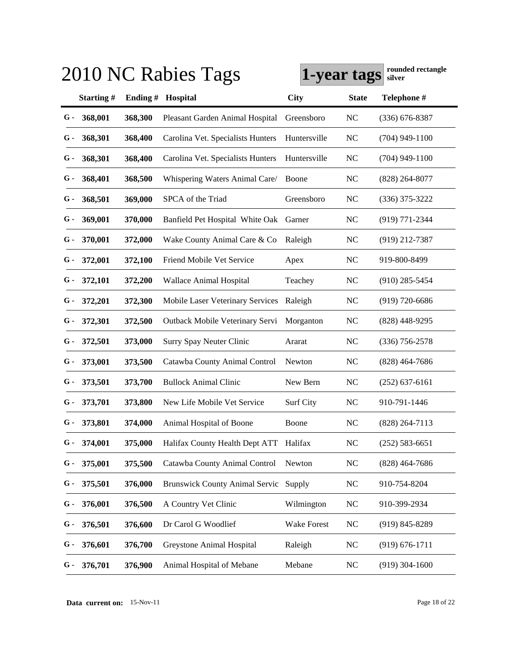|      |               |            | 2010 NC Rabies Tags                    | 1-year tags  |                | rounded rectangle<br>silver |
|------|---------------|------------|----------------------------------------|--------------|----------------|-----------------------------|
|      | Starting#     | Ending $#$ | Hospital                               | City         | <b>State</b>   | Telephone #                 |
| G -  | 368,001       | 368,300    | Pleasant Garden Animal Hospital        | Greensboro   | <b>NC</b>      | $(336) 676 - 8387$          |
| G -  | 368,301       | 368,400    | Carolina Vet. Specialists Hunters      | Huntersville | <b>NC</b>      | $(704)$ 949-1100            |
| G -  | 368,301       | 368,400    | Carolina Vet. Specialists Hunters      | Huntersville | <b>NC</b>      | $(704)$ 949-1100            |
| $G-$ | 368,401       | 368,500    | Whispering Waters Animal Care/         | Boone        | <b>NC</b>      | $(828)$ 264-8077            |
| $G-$ | 368,501       | 369,000    | SPCA of the Triad                      | Greensboro   | <b>NC</b>      | $(336)$ 375-3222            |
| G -  | 369,001       | 370,000    | Banfield Pet Hospital White Oak        | Garner       | <b>NC</b>      | (919) 771-2344              |
| G -  | 370,001       | 372,000    | Wake County Animal Care & Co           | Raleigh      | <b>NC</b>      | (919) 212-7387              |
| G -  | 372,001       | 372,100    | Friend Mobile Vet Service              | Apex         | N <sub>C</sub> | 919-800-8499                |
| G -  | 372,101       | 372,200    | Wallace Animal Hospital                | Teachey      | NC             | $(910)$ 285-5454            |
| G -  | 372,201       | 372,300    | Mobile Laser Veterinary Services       | Raleigh      | NC             | (919) 720-6686              |
| G -  | 372,301       | 372,500    | Outback Mobile Veterinary Servi        | Morganton    | <b>NC</b>      | (828) 448-9295              |
| G -  | 372,501       | 373,000    | Surry Spay Neuter Clinic               | Ararat       | <b>NC</b>      | $(336)$ 756-2578            |
| $G-$ | 373,001       | 373,500    | Catawba County Animal Control          | Newton       | <b>NC</b>      | $(828)$ 464-7686            |
| G -  | 373,501       | 373,700    | <b>Bullock Animal Clinic</b>           | New Bern     | <b>NC</b>      | $(252)$ 637-6161            |
| G -  | 373,701       | 373,800    | New Life Mobile Vet Service            | Surf City    | <b>NC</b>      | 910-791-1446                |
| G -  | 373,801       | 374,000    | Animal Hospital of Boone               | Boone        | <b>NC</b>      | $(828)$ 264-7113            |
|      | $G - 374,001$ | 375,000    | Halifax County Health Dept ATT Halifax |              | NC             | $(252)$ 583-6651            |
| G -  | 375,001       | 375,500    | Catawba County Animal Control          | Newton       | <b>NC</b>      | $(828)$ 464-7686            |
| G -  | 375,501       | 376,000    | <b>Brunswick County Animal Servic</b>  | Supply       | <b>NC</b>      | 910-754-8204                |
| G -  | 376,001       | 376,500    | A Country Vet Clinic                   | Wilmington   | <b>NC</b>      | 910-399-2934                |
| G -  | 376,501       | 376,600    | Dr Carol G Woodlief                    | Wake Forest  | <b>NC</b>      | $(919) 845 - 8289$          |
| G -  | 376,601       | 376,700    | Greystone Animal Hospital              | Raleigh      | <b>NC</b>      | $(919) 676 - 1711$          |
| G -  | 376,701       | 376,900    | Animal Hospital of Mebane              | Mebane       | <b>NC</b>      | $(919)$ 304-1600            |

**Data current on:** 15-Nov-11 Page 18 of 22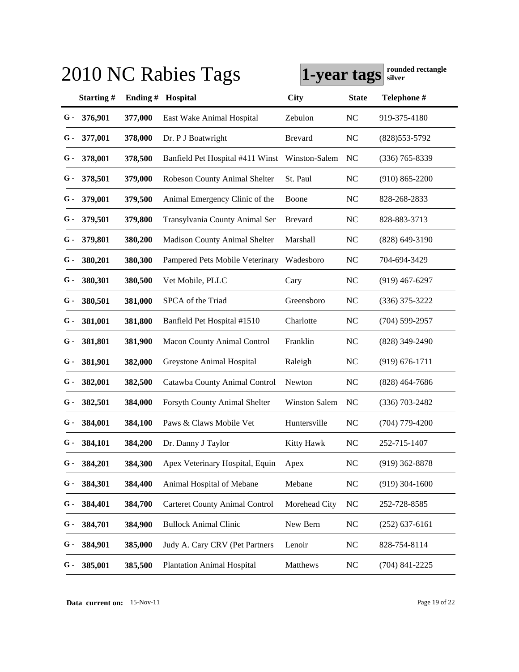|     |               |         | 2010 NC Rabies Tags                   | 1-year tags          |                | rounded rectangle<br>silver |
|-----|---------------|---------|---------------------------------------|----------------------|----------------|-----------------------------|
|     | Starting#     | Ending# | Hospital                              | <b>City</b>          | <b>State</b>   | Telephone #                 |
| G-  | 376,901       | 377,000 | East Wake Animal Hospital             | Zebulon              | <b>NC</b>      | 919-375-4180                |
| G - | 377,001       | 378,000 | Dr. P J Boatwright                    | <b>Brevard</b>       | N <sub>C</sub> | $(828)553-5792$             |
| G - | 378,001       | 378,500 | Banfield Pet Hospital #411 Winst      | Winston-Salem        | NC             | $(336)$ 765-8339            |
| G - | 378,501       | 379,000 | Robeson County Animal Shelter         | St. Paul             | N <sub>C</sub> | $(910) 865 - 2200$          |
| G - | 379,001       | 379,500 | Animal Emergency Clinic of the        | Boone                | N <sub>C</sub> | 828-268-2833                |
| G - | 379,501       | 379,800 | Transylvania County Animal Ser        | <b>Brevard</b>       | N <sub>C</sub> | 828-883-3713                |
| G - | 379,801       | 380,200 | <b>Madison County Animal Shelter</b>  | Marshall             | <b>NC</b>      | $(828)$ 649-3190            |
| G - | 380,201       | 380,300 | Pampered Pets Mobile Veterinary       | Wadesboro            | N <sub>C</sub> | 704-694-3429                |
| G - | 380,301       | 380,500 | Vet Mobile, PLLC                      | Cary                 | <b>NC</b>      | $(919)$ 467-6297            |
| G - | 380,501       | 381,000 | SPCA of the Triad                     | Greensboro           | <b>NC</b>      | $(336)$ 375-3222            |
| G - | 381,001       | 381,800 | Banfield Pet Hospital #1510           | Charlotte            | <b>NC</b>      | $(704)$ 599-2957            |
| G - | 381,801       | 381,900 | Macon County Animal Control           | Franklin             | <b>NC</b>      | $(828)$ 349-2490            |
| G - | 381,901       | 382,000 | Greystone Animal Hospital             | Raleigh              | <b>NC</b>      | $(919) 676 - 1711$          |
| G - | 382,001       | 382,500 | Catawba County Animal Control         | Newton               | <b>NC</b>      | $(828)$ 464-7686            |
| G - | 382,501       | 384,000 | Forsyth County Animal Shelter         | <b>Winston Salem</b> | N <sub>C</sub> | $(336) 703 - 2482$          |
| G - | 384,001       | 384,100 | Paws & Claws Mobile Vet               | Huntersville         | <b>NC</b>      | $(704)$ 779-4200            |
|     | $G - 384,101$ | 384,200 | Dr. Danny J Taylor                    | Kitty Hawk           | NC             | 252-715-1407                |
| G - | 384,201       | 384,300 | Apex Veterinary Hospital, Equin       | Apex                 | <b>NC</b>      | $(919)$ 362-8878            |
| G - | 384,301       | 384,400 | Animal Hospital of Mebane             | Mebane               | <b>NC</b>      | $(919)$ 304-1600            |
| G - | 384,401       | 384,700 | <b>Carteret County Animal Control</b> | Morehead City        | <b>NC</b>      | 252-728-8585                |
| G - | 384,701       | 384,900 | <b>Bullock Animal Clinic</b>          | New Bern             | <b>NC</b>      | $(252)$ 637-6161            |
| G - | 384,901       | 385,000 | Judy A. Cary CRV (Pet Partners        | Lenoir               | <b>NC</b>      | 828-754-8114                |
| G - | 385,001       | 385,500 | <b>Plantation Animal Hospital</b>     | Matthews             | <b>NC</b>      | $(704)$ 841-2225            |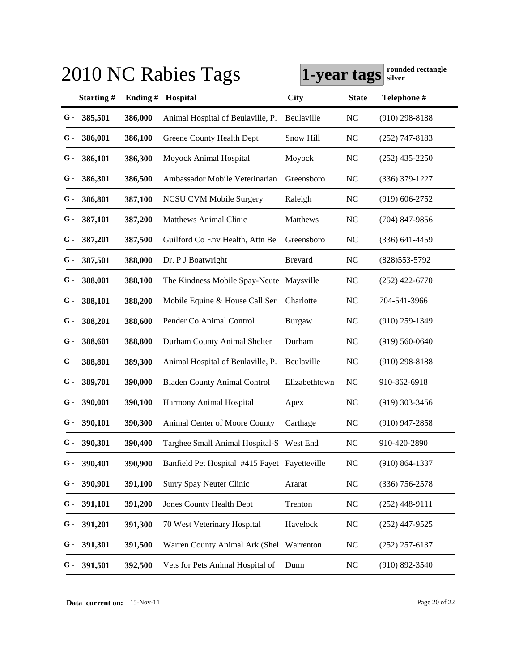|       |               |         | 2010 NC Rabies Tags                           | 1-year tags    |                | rounded rectangle<br>silver |
|-------|---------------|---------|-----------------------------------------------|----------------|----------------|-----------------------------|
|       | Starting#     | Ending# | Hospital                                      | City           | <b>State</b>   | Telephone #                 |
| $G -$ | 385,501       | 386,000 | Animal Hospital of Beulaville, P.             | Beulaville     | <b>NC</b>      | $(910)$ 298-8188            |
| G -   | 386,001       | 386,100 | Greene County Health Dept                     | Snow Hill      | NC             | $(252)$ 747-8183            |
| G -   | 386,101       | 386,300 | Moyock Animal Hospital                        | Moyock         | <b>NC</b>      | $(252)$ 435-2250            |
| G -   | 386,301       | 386,500 | Ambassador Mobile Veterinarian                | Greensboro     | N <sub>C</sub> | $(336)$ 379-1227            |
| G -   | 386,801       | 387,100 | <b>NCSU CVM Mobile Surgery</b>                | Raleigh        | <b>NC</b>      | $(919)$ 606-2752            |
| G -   | 387,101       | 387,200 | <b>Matthews Animal Clinic</b>                 | Matthews       | N <sub>C</sub> | $(704)$ 847-9856            |
| G -   | 387,201       | 387,500 | Guilford Co Env Health, Attn Be               | Greensboro     | <b>NC</b>      | $(336)$ 641-4459            |
| G -   | 387,501       | 388,000 | Dr. P J Boatwright                            | <b>Brevard</b> | <b>NC</b>      | $(828)$ 553-5792            |
| G -   | 388,001       | 388,100 | The Kindness Mobile Spay-Neute Maysville      |                | <b>NC</b>      | $(252)$ 422-6770            |
| G -   | 388,101       | 388,200 | Mobile Equine & House Call Ser                | Charlotte      | <b>NC</b>      | 704-541-3966                |
| G -   | 388,201       | 388,600 | Pender Co Animal Control                      | Burgaw         | <b>NC</b>      | $(910)$ 259-1349            |
| G -   | 388,601       | 388,800 | Durham County Animal Shelter                  | Durham         | <b>NC</b>      | $(919)$ 560-0640            |
| G -   | 388,801       | 389,300 | Animal Hospital of Beulaville, P.             | Beulaville     | <b>NC</b>      | $(910)$ 298-8188            |
| G -   | 389,701       | 390,000 | <b>Bladen County Animal Control</b>           | Elizabethtown  | NC             | 910-862-6918                |
| G -   | 390,001       | 390,100 | Harmony Animal Hospital                       | Apex           | <b>NC</b>      | $(919)$ 303-3456            |
| G -   | 390,101       | 390,300 | Animal Center of Moore County                 | Carthage       | <b>NC</b>      | $(910)$ 947-2858            |
|       | $G - 390,301$ | 390,400 | Targhee Small Animal Hospital-S West End      |                | NC             | 910-420-2890                |
| G -   | 390,401       | 390,900 | Banfield Pet Hospital #415 Fayet Fayetteville |                | NC             | $(910) 864 - 1337$          |
| G -   | 390,901       | 391,100 | Surry Spay Neuter Clinic                      | Ararat         | NC             | $(336)$ 756-2578            |
| G -   | 391,101       | 391,200 | <b>Jones County Health Dept</b>               | Trenton        | NC             | $(252)$ 448-9111            |
| G -   | 391,201       | 391,300 | 70 West Veterinary Hospital                   | Havelock       | NC             | $(252)$ 447-9525            |
| G -   | 391,301       | 391,500 | Warren County Animal Ark (Shel                | Warrenton      | NC             | $(252)$ 257-6137            |
| G -   | 391,501       | 392,500 | Vets for Pets Animal Hospital of              | Dunn           | NC             | $(910) 892 - 3540$          |

**Data current on:** 15-Nov-11 Page 20 of 22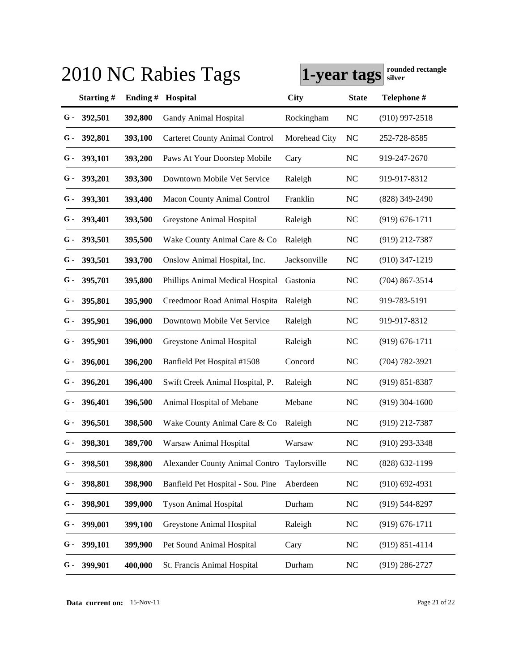|       |               |         | 2010 NC Rabies Tags                         | 1-year tags   |                | rounded rectangle<br>silver |
|-------|---------------|---------|---------------------------------------------|---------------|----------------|-----------------------------|
|       | Starting#     | Ending# | Hospital                                    | <b>City</b>   | <b>State</b>   | Telephone #                 |
| G-    | 392,501       | 392,800 | <b>Gandy Animal Hospital</b>                | Rockingham    | <b>NC</b>      | $(910)$ 997-2518            |
| G -   | 392,801       | 393,100 | <b>Carteret County Animal Control</b>       | Morehead City | N <sub>C</sub> | 252-728-8585                |
| $G-$  | 393,101       | 393,200 | Paws At Your Doorstep Mobile                | Cary          | <b>NC</b>      | 919-247-2670                |
| G -   | 393,201       | 393,300 | Downtown Mobile Vet Service                 | Raleigh       | <b>NC</b>      | 919-917-8312                |
| G -   | 393,301       | 393,400 | <b>Macon County Animal Control</b>          | Franklin      | <b>NC</b>      | $(828)$ 349-2490            |
| G -   | 393,401       | 393,500 | Greystone Animal Hospital                   | Raleigh       | <b>NC</b>      | $(919) 676 - 1711$          |
| G -   | 393,501       | 395,500 | Wake County Animal Care & Co                | Raleigh       | <b>NC</b>      | $(919)$ 212-7387            |
| $G-$  | 393,501       | 393,700 | Onslow Animal Hospital, Inc.                | Jacksonville  | <b>NC</b>      | $(910)$ 347-1219            |
| $G$ - | 395,701       | 395,800 | Phillips Animal Medical Hospital            | Gastonia      | <b>NC</b>      | $(704)$ 867-3514            |
| $G$ - | 395,801       | 395,900 | Creedmoor Road Animal Hospita               | Raleigh       | <b>NC</b>      | 919-783-5191                |
| $G$ - | 395,901       | 396,000 | Downtown Mobile Vet Service                 | Raleigh       | <b>NC</b>      | 919-917-8312                |
| G -   | 395,901       | 396,000 | Greystone Animal Hospital                   | Raleigh       | <b>NC</b>      | $(919) 676 - 1711$          |
| G -   | 396,001       | 396,200 | Banfield Pet Hospital #1508                 | Concord       | <b>NC</b>      | $(704) 782 - 3921$          |
| G -   | 396,201       | 396,400 | Swift Creek Animal Hospital, P.             | Raleigh       | <b>NC</b>      | $(919) 851 - 8387$          |
| $G-$  | 396,401       | 396,500 | Animal Hospital of Mebane                   | Mebane        | <b>NC</b>      | $(919)$ 304-1600            |
| $G-$  | 396,501       | 398,500 | Wake County Animal Care & Co                | Raleigh       | <b>NC</b>      | $(919)$ 212-7387            |
|       | $G - 398,301$ | 389,700 | Warsaw Animal Hospital                      | Warsaw        | NC             | $(910)$ 293-3348            |
| G -   | 398,501       | 398,800 | Alexander County Animal Contro Taylorsville |               | <b>NC</b>      | $(828) 632 - 1199$          |
| G -   | 398,801       | 398,900 | Banfield Pet Hospital - Sou. Pine           | Aberdeen      | <b>NC</b>      | $(910) 692 - 4931$          |
| G -   | 398,901       | 399,000 | <b>Tyson Animal Hospital</b>                | Durham        | <b>NC</b>      | $(919) 544 - 8297$          |
| G -   | 399,001       | 399,100 | Greystone Animal Hospital                   | Raleigh       | <b>NC</b>      | $(919) 676 - 1711$          |
| G -   | 399,101       | 399,900 | Pet Sound Animal Hospital                   | Cary          | <b>NC</b>      | $(919) 851 - 4114$          |
| G -   | 399,901       | 400,000 | St. Francis Animal Hospital                 | Durham        | <b>NC</b>      | $(919)$ 286-2727            |

**Data current on:** 15-Nov-11 Page 21 of 22